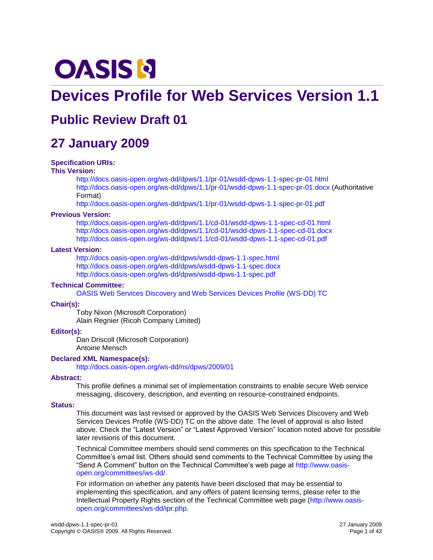# **OASIS N**

# **Devices Profile for Web Services Version 1.1**

# **Public Review Draft 01**

# **27 January 2009**

#### **Specification URIs:**

#### **This Version:**

<http://docs.oasis-open.org/ws-dd/dpws/1.1/pr-01/wsdd-dpws-1.1-spec-pr-01.html> <http://docs.oasis-open.org/ws-dd/dpws/1.1/pr-01/wsdd-dpws-1.1-spec-pr-01.docx> (Authoritative Format)

<http://docs.oasis-open.org/ws-dd/dpws/1.1/pr-01/wsdd-dpws-1.1-spec-pr-01.pdf>

#### **Previous Version:**

<http://docs.oasis-open.org/ws-dd/dpws/1.1/cd-01/wsdd-dpws-1.1-spec-cd-01.html> <http://docs.oasis-open.org/ws-dd/dpws/1.1/cd-01/wsdd-dpws-1.1-spec-cd-01.docx> <http://docs.oasis-open.org/ws-dd/dpws/1.1/cd-01/wsdd-dpws-1.1-spec-cd-01.pdf>

#### **Latest Version:**

<http://docs.oasis-open.org/ws-dd/dpws/wsdd-dpws-1.1-spec.html> <http://docs.oasis-open.org/ws-dd/dpws/wsdd-dpws-1.1-spec.docx> <http://docs.oasis-open.org/ws-dd/dpws/wsdd-dpws-1.1-spec.pdf>

#### **Technical Committee:**

[OASIS Web Services Discovery and Web Services Devices Profile \(WS-DD\)](http://www.oasis-open.org/committees/ws-dd/) TC

#### **Chair(s):**

Toby Nixon (Microsoft Corporation) Alain Regnier (Ricoh Company Limited)

#### **Editor(s):**

Dan Driscoll (Microsoft Corporation) Antoine Mensch

#### **Declared XML Namespace(s):**

<http://docs.oasis-open.org/ws-dd/ns/dpws/2009/01>

#### **Abstract:**

This profile defines a minimal set of implementation constraints to enable secure Web service messaging, discovery, description, and eventing on resource-constrained endpoints.

#### **Status:**

This document was last revised or approved by the OASIS Web Services Discovery and Web Services Devices Profile (WS-DD) TC on the above date. The level of approval is also listed above. Check the "Latest Version" or "Latest Approved Version" location noted above for possible later revisions of this document.

Technical Committee members should send comments on this specification to the Technical Committee"s email list. Others should send comments to the Technical Committee by using the "Send A Comment" button on the Technical Committee"s web page at [http://www.oasis](http://www.oasis-open.org/committees/ws-dd/)[open.org/committees/ws-dd/.](http://www.oasis-open.org/committees/ws-dd/)

For information on whether any patents have been disclosed that may be essential to implementing this specification, and any offers of patent licensing terms, please refer to the Intellectual Property Rights section of the Technical Committee web page [\(http://www.oasis](http://www.oasis-open.org/committees/ws-dd/ipr.php)[open.org/committees/ws-dd/ipr.php.](http://www.oasis-open.org/committees/ws-dd/ipr.php)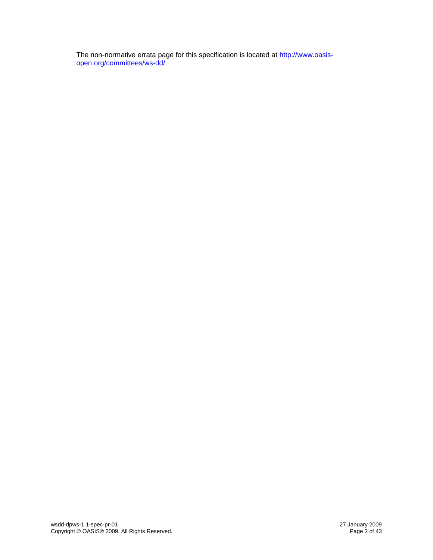The non-normative errata page for this specification is located at [http://www.oasis](http://www.oasis-open.org/committees/ws-dd/)[open.org/committees/ws-dd/.](http://www.oasis-open.org/committees/ws-dd/)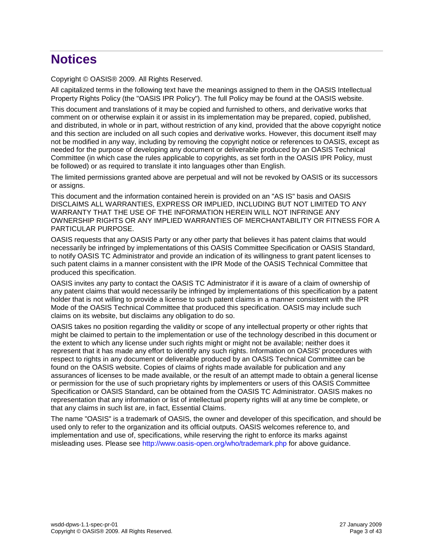# **Notices**

Copyright © OASIS® 2009. All Rights Reserved.

All capitalized terms in the following text have the meanings assigned to them in the OASIS Intellectual Property Rights Policy (the "OASIS IPR Policy"). The full Policy may be found at the OASIS website.

This document and translations of it may be copied and furnished to others, and derivative works that comment on or otherwise explain it or assist in its implementation may be prepared, copied, published, and distributed, in whole or in part, without restriction of any kind, provided that the above copyright notice and this section are included on all such copies and derivative works. However, this document itself may not be modified in any way, including by removing the copyright notice or references to OASIS, except as needed for the purpose of developing any document or deliverable produced by an OASIS Technical Committee (in which case the rules applicable to copyrights, as set forth in the OASIS IPR Policy, must be followed) or as required to translate it into languages other than English.

The limited permissions granted above are perpetual and will not be revoked by OASIS or its successors or assigns.

This document and the information contained herein is provided on an "AS IS" basis and OASIS DISCLAIMS ALL WARRANTIES, EXPRESS OR IMPLIED, INCLUDING BUT NOT LIMITED TO ANY WARRANTY THAT THE USE OF THE INFORMATION HEREIN WILL NOT INFRINGE ANY OWNERSHIP RIGHTS OR ANY IMPLIED WARRANTIES OF MERCHANTABILITY OR FITNESS FOR A PARTICULAR PURPOSE.

OASIS requests that any OASIS Party or any other party that believes it has patent claims that would necessarily be infringed by implementations of this OASIS Committee Specification or OASIS Standard, to notify OASIS TC Administrator and provide an indication of its willingness to grant patent licenses to such patent claims in a manner consistent with the IPR Mode of the OASIS Technical Committee that produced this specification.

OASIS invites any party to contact the OASIS TC Administrator if it is aware of a claim of ownership of any patent claims that would necessarily be infringed by implementations of this specification by a patent holder that is not willing to provide a license to such patent claims in a manner consistent with the IPR Mode of the OASIS Technical Committee that produced this specification. OASIS may include such claims on its website, but disclaims any obligation to do so.

OASIS takes no position regarding the validity or scope of any intellectual property or other rights that might be claimed to pertain to the implementation or use of the technology described in this document or the extent to which any license under such rights might or might not be available; neither does it represent that it has made any effort to identify any such rights. Information on OASIS' procedures with respect to rights in any document or deliverable produced by an OASIS Technical Committee can be found on the OASIS website. Copies of claims of rights made available for publication and any assurances of licenses to be made available, or the result of an attempt made to obtain a general license or permission for the use of such proprietary rights by implementers or users of this OASIS Committee Specification or OASIS Standard, can be obtained from the OASIS TC Administrator. OASIS makes no representation that any information or list of intellectual property rights will at any time be complete, or that any claims in such list are, in fact, Essential Claims.

The name "OASIS" is a trademark of OASIS, the owner and developer of this specification, and should be used only to refer to the organization and its official outputs. OASIS welcomes reference to, and implementation and use of, specifications, while reserving the right to enforce its marks against misleading uses. Please see<http://www.oasis-open.org/who/trademark.php> for above guidance.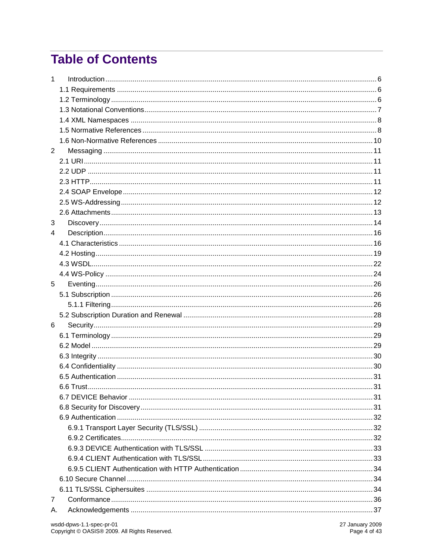# **Table of Contents**

| 1              |  |
|----------------|--|
|                |  |
|                |  |
|                |  |
|                |  |
|                |  |
|                |  |
| $\overline{2}$ |  |
|                |  |
|                |  |
|                |  |
|                |  |
|                |  |
|                |  |
| 3              |  |
| 4              |  |
|                |  |
|                |  |
|                |  |
|                |  |
| 5              |  |
|                |  |
|                |  |
|                |  |
| 6              |  |
|                |  |
|                |  |
|                |  |
|                |  |
|                |  |
|                |  |
|                |  |
|                |  |
|                |  |
|                |  |
|                |  |
|                |  |
|                |  |
|                |  |
|                |  |
|                |  |
| 7              |  |
| А.             |  |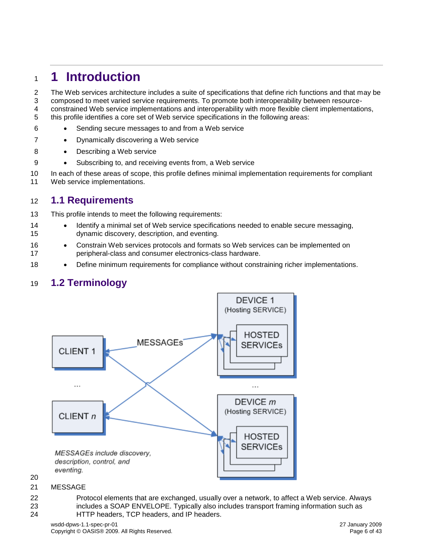# <span id="page-5-0"></span>**1 Introduction**

 The Web services architecture includes a suite of specifications that define rich functions and that may be composed to meet varied service requirements. To promote both interoperability between resource-

 constrained Web service implementations and interoperability with more flexible client implementations, this profile identifies a core set of Web service specifications in the following areas:

- Sending secure messages to and from a Web service
- 7 Dynamically discovering a Web service
- 8 Describing a Web service
- 9 Subscribing to, and receiving events from, a Web service

 In each of these areas of scope, this profile defines minimal implementation requirements for compliant Web service implementations.

#### <span id="page-5-1"></span>**1.1 Requirements**

- This profile intends to meet the following requirements:
- **IDENTIFY** Identify a minimal set of Web service specifications needed to enable secure messaging, dynamic discovery, description, and eventing.
- 16 Constrain Web services protocols and formats so Web services can be implemented on peripheral-class and consumer electronics-class hardware.
- **••** Define minimum requirements for compliance without constraining richer implementations.

### <span id="page-5-2"></span>**1.2 Terminology**



#### MESSAGE

 Protocol elements that are exchanged, usually over a network, to affect a Web service. Always includes a SOAP ENVELOPE. Typically also includes transport framing information such as HTTP headers, TCP headers, and IP headers.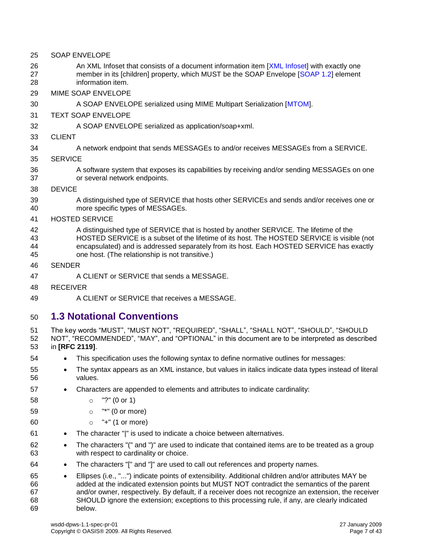- SOAP ENVELOPE
- 26 An XML Infoset that consists of a document information item [\[XML Infoset\]](#page-9-1) with exactly one member in its [children] property, which MUST be the SOAP Envelope [\[SOAP 1.2\]](#page-8-0) element information item.
- MIME SOAP ENVELOPE
- A SOAP ENVELOPE serialized using MIME Multipart Serialization [\[MTOM\]](#page-7-2).
- TEXT SOAP ENVELOPE
- A SOAP ENVELOPE serialized as application/soap+xml.
- CLIENT
- A network endpoint that sends MESSAGEs to and/or receives MESSAGEs from a SERVICE.
- SERVICE
- A software system that exposes its capabilities by receiving and/or sending MESSAGEs on one or several network endpoints.
- DEVICE
- A distinguished type of SERVICE that hosts other SERVICEs and sends and/or receives one or more specific types of MESSAGEs.
- HOSTED SERVICE
- A distinguished type of SERVICE that is hosted by another SERVICE. The lifetime of the HOSTED SERVICE is a subset of the lifetime of its host. The HOSTED SERVICE is visible (not encapsulated) and is addressed separately from its host. Each HOSTED SERVICE has exactly
- one host. (The relationship is not transitive.)
- SENDER
- A CLIENT or SERVICE that sends a MESSAGE.
- RECEIVER
- A CLIENT or SERVICE that receives a MESSAGE.

### <span id="page-6-0"></span>**1.3 Notational Conventions**

- The key words "MUST", "MUST NOT", "REQUIRED", "SHALL", "SHALL NOT", "SHOULD", "SHOULD NOT", "RECOMMENDED", "MAY", and "OPTIONAL" in this document are to be interpreted as described in **[RFC [2119\]](#page-7-3)**.
- This specification uses the following syntax to define normative outlines for messages:
- 55 The syntax appears as an XML instance, but values in italics indicate data types instead of literal values.
- Characters are appended to elements and attributes to indicate cardinality:
- o "?" (0 or 1)
- o "\*" (0 or more)
- o "+" (1 or more)
- The character "|" is used to indicate a choice between alternatives.
- 62 The characters "(" and ")" are used to indicate that contained items are to be treated as a group with respect to cardinality or choice.
- The characters "[" and "]" are used to call out references and property names.
- Ellipses (i.e., "...") indicate points of extensibility. Additional children and/or attributes MAY be added at the indicated extension points but MUST NOT contradict the semantics of the parent and/or owner, respectively. By default, if a receiver does not recognize an extension, the receiver SHOULD ignore the extension; exceptions to this processing rule, if any, are clearly indicated below.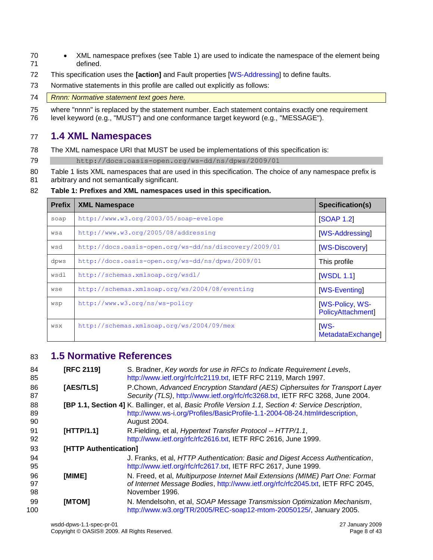- XML namespace prefixes (see Table 1) are used to indicate the namespace of the element being defined.
- This specification uses the **[action]** and Fault properties [\[WS-Addressing\]](#page-8-1) to define faults.
- Normative statements in this profile are called out explicitly as follows:

#### *Rnnn: Normative statement text goes here.*

where "nnnn" is replaced by the statement number. Each statement contains exactly one requirement

level keyword (e.g., "MUST") and one conformance target keyword (e.g., "MESSAGE").

### <span id="page-7-0"></span>**1.4 XML Namespaces**

- The XML namespace URI that MUST be used be implementations of this specification is:
- http://docs.oasis-open.org/ws-dd/ns/dpws/2009/01
- 80 Table 1 lists XML namespaces that are used in this specification. The choice of any namespace prefix is
- arbitrary and not semantically significant.

#### **Table 1: Prefixes and XML namespaces used in this specification.**

| <b>Prefix</b> | <b>XML Namespace</b>                                  | Specification(s)                           |
|---------------|-------------------------------------------------------|--------------------------------------------|
| soap          | http://www.w3.org/2003/05/soap-evelope                | <b>[SOAP 1.2]</b>                          |
| wsa           | http://www.w3.org/2005/08/addressing                  | [WS-Addressing]                            |
| wsd           | http://docs.oasis-open.org/ws-dd/ns/discovery/2009/01 | [WS-Discovery]                             |
| dpws          | http://docs.oasis-open.org/ws-dd/ns/dpws/2009/01      | This profile                               |
| wsdl          | http://schemas.xmlsoap.org/wsdl/                      | <b>WSDL 1.1</b>                            |
| wse           | http://schemas.xmlsoap.org/ws/2004/08/eventing        | [WS-Eventing]                              |
| wsp           | http://www.w3.org/ns/ws-policy                        | <b>IWS-Policy, WS-</b><br>PolicyAttachment |
| WSX           | http://schemas.xmlsoap.org/ws/2004/09/mex             | <b>IWS-</b><br>MetadataExchange]           |

#### <span id="page-7-1"></span>**1.5 Normative References**

<span id="page-7-8"></span><span id="page-7-7"></span><span id="page-7-6"></span><span id="page-7-5"></span><span id="page-7-4"></span><span id="page-7-3"></span><span id="page-7-2"></span>

| 84<br>85       | <b>[RFC 2119]</b>     | S. Bradner, Key words for use in RFCs to Indicate Requirement Levels,<br>http://www.ietf.org/rfc/rfc2119.txt, IETF RFC 2119, March 1997.                                                          |
|----------------|-----------------------|---------------------------------------------------------------------------------------------------------------------------------------------------------------------------------------------------|
| 86<br>87       | [AES/TLS]             | P.Chown, Advanced Encryption Standard (AES) Ciphersuites for Transport Layer<br>Security (TLS), http://www.ietf.org/rfc/rfc3268.txt, IETF RFC 3268, June 2004.                                    |
| 88<br>89<br>90 |                       | [BP 1.1, Section 4] K. Ballinger, et al, Basic Profile Version 1.1, Section 4: Service Description,<br>http://www.ws-i.org/Profiles/BasicProfile-1.1-2004-08-24.html#description,<br>August 2004. |
| 91<br>92       | [HTTP/1.1]            | R.Fielding, et al, <i>Hypertext Transfer Protocol -- HTTP/1.1</i> ,<br>http://www.ietf.org/rfc/rfc2616.txt, IETF RFC 2616, June 1999.                                                             |
| 93             | [HTTP Authentication] |                                                                                                                                                                                                   |
| 94<br>95       |                       | J. Franks, et al, HTTP Authentication: Basic and Digest Access Authentication,<br>http://www.ietf.org/rfc/rfc2617.txt, IETF RFC 2617, June 1999.                                                  |
| 96<br>97<br>98 | [MIME]                | N. Freed, et al, Multipurpose Internet Mail Extensions (MIME) Part One: Format<br>of Internet Message Bodies, http://www.ietf.org/rfc/rfc2045.txt, IETF RFC 2045,<br>November 1996.               |
| 99<br>100      | [MTOM]                | N. Mendelsohn, et al, SOAP Message Transmission Optimization Mechanism,<br>http://www.w3.org/TR/2005/REC-soap12-mtom-20050125/, January 2005.                                                     |
|                |                       |                                                                                                                                                                                                   |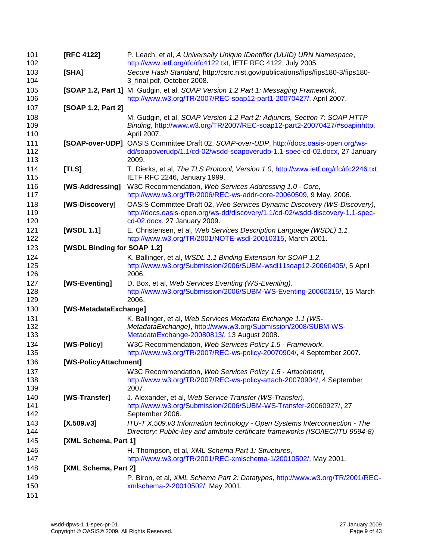<span id="page-8-17"></span><span id="page-8-16"></span><span id="page-8-15"></span><span id="page-8-14"></span><span id="page-8-13"></span><span id="page-8-12"></span><span id="page-8-11"></span><span id="page-8-10"></span><span id="page-8-9"></span><span id="page-8-8"></span><span id="page-8-7"></span><span id="page-8-6"></span><span id="page-8-5"></span><span id="page-8-4"></span><span id="page-8-3"></span><span id="page-8-2"></span><span id="page-8-1"></span><span id="page-8-0"></span>

| 101<br>102        | <b>[RFC 4122]</b>           | P. Leach, et al, A Universally Unique IDentifier (UUID) URN Namespace,<br>http://www.ietf.org/rfc/rfc4122.txt, IETF RFC 4122, July 2005.                                                  |
|-------------------|-----------------------------|-------------------------------------------------------------------------------------------------------------------------------------------------------------------------------------------|
| 103<br>104        | [SHA]                       | Secure Hash Standard, http://csrc.nist.gov/publications/fips/fips180-3/fips180-<br>3_final.pdf, October 2008.                                                                             |
| 105<br>106        |                             | [SOAP 1.2, Part 1] M. Gudgin, et al, SOAP Version 1.2 Part 1: Messaging Framework,<br>http://www.w3.org/TR/2007/REC-soap12-part1-20070427/, April 2007.                                   |
| 107               | [SOAP 1.2, Part 2]          |                                                                                                                                                                                           |
| 108<br>109<br>110 |                             | M. Gudgin, et al, SOAP Version 1.2 Part 2: Adjuncts, Section 7: SOAP HTTP<br>Binding, http://www.w3.org/TR/2007/REC-soap12-part2-20070427/#soapinhttp,<br>April 2007.                     |
| 111<br>112<br>113 |                             | [SOAP-over-UDP] OASIS Committee Draft 02, SOAP-over-UDP, http://docs.oasis-open.org/ws-<br>dd/soapoverudp/1.1/cd-02/wsdd-soapoverudp-1.1-spec-cd-02.docx, 27 January<br>2009.             |
| 114<br>115        | [TLS]                       | T. Dierks, et al, The TLS Protocol, Version 1.0, http://www.ietf.org/rfc/rfc2246.txt,<br>IETF RFC 2246, January 1999.                                                                     |
| 116<br>117        | [WS-Addressing]             | W3C Recommendation, Web Services Addressing 1.0 - Core,<br>http://www.w3.org/TR/2006/REC-ws-addr-core-20060509, 9 May, 2006.                                                              |
| 118<br>119<br>120 | [WS-Discovery]              | OASIS Committee Draft 02, Web Services Dynamic Discovery (WS-Discovery),<br>http://docs.oasis-open.org/ws-dd/discovery/1.1/cd-02/wsdd-discovery-1.1-spec-<br>cd-02.docx, 27 January 2009. |
| 121<br>122        | [WSDL 1.1]                  | E. Christensen, et al, Web Services Description Language (WSDL) 1.1,<br>http://www.w3.org/TR/2001/NOTE-wsdl-20010315, March 2001.                                                         |
| 123               | [WSDL Binding for SOAP 1.2] |                                                                                                                                                                                           |
| 124<br>125<br>126 |                             | K. Ballinger, et al, WSDL 1.1 Binding Extension for SOAP 1.2,<br>http://www.w3.org/Submission/2006/SUBM-wsdl11soap12-20060405/, 5 April<br>2006.                                          |
| 127<br>128<br>129 | [WS-Eventing]               | D. Box, et al, Web Services Eventing (WS-Eventing),<br>http://www.w3.org/Submission/2006/SUBM-WS-Eventing-20060315/, 15 March<br>2006.                                                    |
| 130               | [WS-MetadataExchange]       |                                                                                                                                                                                           |
| 131<br>132<br>133 |                             | K. Ballinger, et al, Web Services Metadata Exchange 1.1 (WS-<br>MetadataExchange), http://www.w3.org/Submission/2008/SUBM-WS-<br>MetadataExchange-20080813/, 13 August 2008.              |
| 134<br>135        | [WS-Policy]                 | W3C Recommendation, Web Services Policy 1.5 - Framework,<br>http://www.w3.org/TR/2007/REC-ws-policy-20070904/, 4 September 2007.                                                          |
| 136               | [WS-PolicyAttachment]       |                                                                                                                                                                                           |
| 137<br>138<br>139 |                             | W3C Recommendation, Web Services Policy 1.5 - Attachment,<br>http://www.w3.org/TR/2007/REC-ws-policy-attach-20070904/, 4 September<br>2007.                                               |
| 140<br>141<br>142 | [WS-Transfer]               | J. Alexander, et al, Web Service Transfer (WS-Transfer),<br>http://www.w3.org/Submission/2006/SUBM-WS-Transfer-20060927/, 27<br>September 2006.                                           |
| 143<br>144        | [X.509.v3]                  | ITU-T X.509.v3 Information technology - Open Systems Interconnection - The<br>Directory: Public-key and attribute certificate frameworks (ISO/IEC/ITU 9594-8)                             |
| 145               | [XML Schema, Part 1]        |                                                                                                                                                                                           |
| 146<br>147        |                             | H. Thompson, et al, XML Schema Part 1: Structures,<br>http://www.w3.org/TR/2001/REC-xmlschema-1/20010502/, May 2001.                                                                      |
| 148               | [XML Schema, Part 2]        |                                                                                                                                                                                           |
| 149<br>150        |                             | P. Biron, et al, XML Schema Part 2: Datatypes, http://www.w3.org/TR/2001/REC-<br>xmlschema-2-20010502/, May 2001.                                                                         |
| 151               |                             |                                                                                                                                                                                           |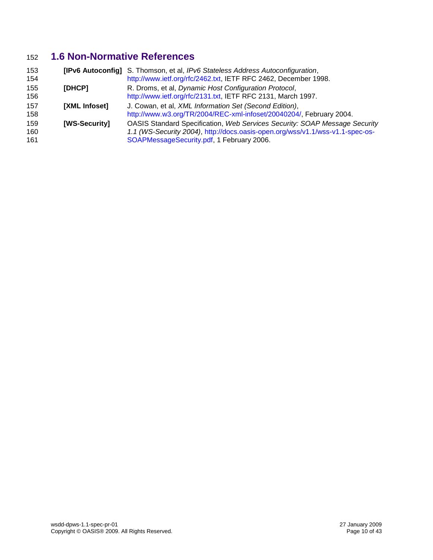### **1.6 Non-Normative References**

<span id="page-9-4"></span><span id="page-9-3"></span><span id="page-9-2"></span><span id="page-9-1"></span><span id="page-9-0"></span>

| 153<br>154        |               | <b>[IPv6 Autoconfig]</b> S. Thomson, et al, IPv6 Stateless Address Autoconfiguration,<br>http://www.ietf.org/rfc/2462.txt, IETF RFC 2462, December 1998.                                                 |
|-------------------|---------------|----------------------------------------------------------------------------------------------------------------------------------------------------------------------------------------------------------|
| 155<br>156        | [DHCP]        | R. Droms, et al, Dynamic Host Configuration Protocol,<br>http://www.ietf.org/rfc/2131.txt, IETF RFC 2131, March 1997.                                                                                    |
| 157<br>158        | [XML Infoset] | J. Cowan, et al, XML Information Set (Second Edition),<br>http://www.w3.org/TR/2004/REC-xml-infoset/20040204/, February 2004.                                                                            |
| 159<br>160<br>161 | [WS-Security] | OASIS Standard Specification, Web Services Security: SOAP Message Security<br>1.1 (WS-Security 2004), http://docs.oasis-open.org/wss/v1.1/wss-v1.1-spec-os-<br>SOAPMessageSecurity.pdf, 1 February 2006. |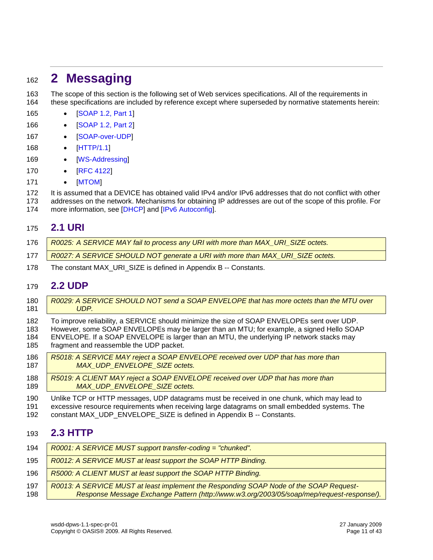# <span id="page-10-0"></span>**2 Messaging**

 The scope of this section is the following set of Web services specifications. All of the requirements in these specifications are included by reference except where superseded by normative statements herein:

- 165 [\[SOAP 1.2, Part 1\]](#page-8-0)
- 166 [\[SOAP 1.2, Part 2\]](#page-8-8)
- 167 · [\[SOAP-over-UDP\]](#page-8-9)
- 168 [\[HTTP/1.1\]](#page-7-4)
- 169 [\[WS-Addressing\]](#page-8-1)
- 170 [\[RFC 4122\]](#page-8-10)
- 171 [\[MTOM\]](#page-7-2)

It is assumed that a DEVICE has obtained valid IPv4 and/or IPv6 addresses that do not conflict with other

 addresses on the network. Mechanisms for obtaining IP addresses are out of the scope of this profile. For 174 more information, see [\[DHCP\]](#page-9-2) and [\[IPv6 Autoconfig\]](#page-9-3).

#### <span id="page-10-1"></span>**2.1 URI**

| 176 | R0025: A SERVICE MAY fail to process any URI with more than MAX_URI_SIZE octets. |
|-----|----------------------------------------------------------------------------------|
| 177 | R0027: A SERVICE SHOULD NOT generate a URI with more than MAX_URI_SIZE octets.   |

The constant MAX\_URI\_SIZE is defined in Appendix B -- Constants.

#### <span id="page-10-2"></span>**2.2 UDP**

| 180 | R0029: A SERVICE SHOULD NOT send a SOAP ENVELOPE that has more octets than the MTU over       |
|-----|-----------------------------------------------------------------------------------------------|
| 181 | UDP.                                                                                          |
| 182 | To improve reliability, a SERVICE should minimize the size of SOAP ENVELOPEs sent over UDP.   |
| 183 | However, some SOAP ENVELOPEs may be larger than an MTU; for example, a signed Hello SOAP      |
| 184 | ENVELOPE. If a SOAP ENVELOPE is larger than an MTU, the underlying IP network stacks may      |
| 185 | fragment and reassemble the UDP packet.                                                       |
| 186 | R5018: A SERVICE MAY reject a SOAP ENVELOPE received over UDP that has more than              |
| 187 | MAX UDP ENVELOPE SIZE octets.                                                                 |
| 188 | R5019: A CLIENT MAY reject a SOAP ENVELOPE received over UDP that has more than               |
| 189 | MAX UDP ENVELOPE SIZE octets.                                                                 |
| 190 | Unlike TCP or HTTP messages, UDP datagrams must be received in one chunk, which may lead to   |
| 191 | excessive resource requirements when receiving large datagrams on small embedded systems. The |
| 192 | constant MAX_UDP_ENVELOPE_SIZE is defined in Appendix B -- Constants.                         |

#### <span id="page-10-3"></span>**2.3 HTTP**

| 194        | R0001: A SERVICE MUST support transfer-coding = "chunked".                                                                                                                          |
|------------|-------------------------------------------------------------------------------------------------------------------------------------------------------------------------------------|
| 195        | R0012: A SERVICE MUST at least support the SOAP HTTP Binding.                                                                                                                       |
| 196        | R5000: A CLIENT MUST at least support the SOAP HTTP Binding.                                                                                                                        |
| 197<br>198 | R0013: A SERVICE MUST at least implement the Responding SOAP Node of the SOAP Request-<br>Response Message Exchange Pattern (http://www.w3.org/2003/05/soap/mep/request-response/). |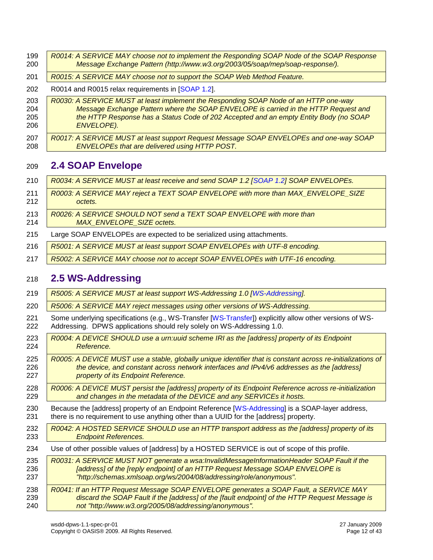<span id="page-11-3"></span><span id="page-11-2"></span><span id="page-11-1"></span><span id="page-11-0"></span>

| 199 | R0014: A SERVICE MAY choose not to implement the Responding SOAP Node of the SOAP Response                  |
|-----|-------------------------------------------------------------------------------------------------------------|
| 200 | Message Exchange Pattern (http://www.w3.org/2003/05/soap/mep/soap-response/).                               |
| 201 | R0015: A SERVICE MAY choose not to support the SOAP Web Method Feature.                                     |
| 202 | R0014 and R0015 relax requirements in [SOAP 1.2].                                                           |
| 203 | R0030: A SERVICE MUST at least implement the Responding SOAP Node of an HTTP one-way                        |
| 204 | Message Exchange Pattern where the SOAP ENVELOPE is carried in the HTTP Request and                         |
| 205 | the HTTP Response has a Status Code of 202 Accepted and an empty Entity Body (no SOAP                       |
| 206 | ENVELOPE).                                                                                                  |
| 207 | R0017: A SERVICE MUST at least support Request Message SOAP ENVELOPEs and one-way SOAP                      |
| 208 | ENVELOPEs that are delivered using HTTP POST.                                                               |
| 209 | <b>2.4 SOAP Envelope</b>                                                                                    |
| 210 | R0034: A SERVICE MUST at least receive and send SOAP 1.2 [SOAP 1.2] SOAP ENVELOPEs.                         |
| 211 | R0003: A SERVICE MAY reject a TEXT SOAP ENVELOPE with more than MAX_ENVELOPE_SIZE                           |
| 212 | octets.                                                                                                     |
| 213 | R0026: A SERVICE SHOULD NOT send a TEXT SOAP ENVELOPE with more than                                        |
| 214 | MAX ENVELOPE SIZE octets.                                                                                   |
| 215 | Large SOAP ENVELOPEs are expected to be serialized using attachments.                                       |
| 216 | R5001: A SERVICE MUST at least support SOAP ENVELOPEs with UTF-8 encoding.                                  |
| 217 | R5002: A SERVICE MAY choose not to accept SOAP ENVELOPEs with UTF-16 encoding.                              |
| 218 | <b>2.5 WS-Addressing</b>                                                                                    |
| 219 | R5005: A SERVICE MUST at least support WS-Addressing 1.0 [WS-Addressing].                                   |
| 220 | R5006: A SERVICE MAY reject messages using other versions of WS-Addressing.                                 |
| 221 | Some underlying specifications (e.g., WS-Transfer [WS-Transfer]) explicitly allow other versions of WS-     |
| 222 | Addressing. DPWS applications should rely solely on WS-Addressing 1.0.                                      |
| 223 | R0004: A DEVICE SHOULD use a urn:uuid scheme IRI as the [address] property of its Endpoint                  |
| 224 | Reference.                                                                                                  |
| 225 | R0005: A DEVICE MUST use a stable, globally unique identifier that is constant across re-initializations of |
| 226 | the device, and constant across network interfaces and IPv4/v6 addresses as the [address]                   |
| 227 | property of its Endpoint Reference.                                                                         |
| 228 | R0006: A DEVICE MUST persist the [address] property of its Endpoint Reference across re-initialization      |
| 229 | and changes in the metadata of the DEVICE and any SERVICEs it hosts.                                        |
| 230 | Because the [address] property of an Endpoint Reference [WS-Addressing] is a SOAP-layer address,            |
| 231 | there is no requirement to use anything other than a UUID for the [address] property.                       |
| 232 | R0042: A HOSTED SERVICE SHOULD use an HTTP transport address as the [address] property of its               |
| 233 | <b>Endpoint References.</b>                                                                                 |
| 234 | Use of other possible values of [address] by a HOSTED SERVICE is out of scope of this profile.              |
| 235 | R0031: A SERVICE MUST NOT generate a wsa:InvalidMessageInformationHeader SOAP Fault if the                  |
| 236 | [address] of the [reply endpoint] of an HTTP Request Message SOAP ENVELOPE is                               |
| 237 | "http://schemas.xmlsoap.org/ws/2004/08/addressing/role/anonymous".                                          |
| 238 | R0041: If an HTTP Request Message SOAP ENVELOPE generates a SOAP Fault, a SERVICE MAY                       |
| 239 | discard the SOAP Fault if the [address] of the [fault endpoint] of the HTTP Request Message is              |
| 240 | not "http://www.w3.org/2005/08/addressing/anonymous".                                                       |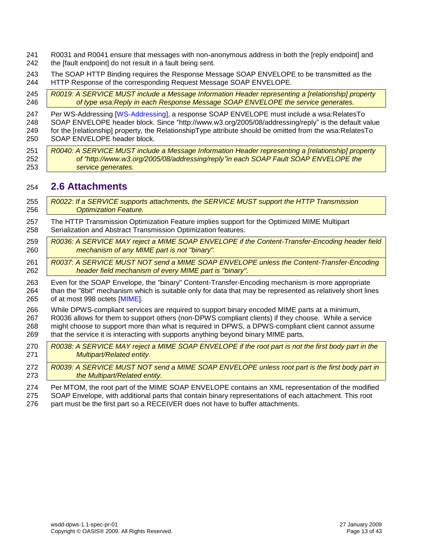- R0031 and R0041 ensure that messages with non-anonymous address in both the [reply endpoint] and
- 242 the Ifault endpoint do not result in a fault being sent.
- The SOAP HTTP Binding requires the Response Message SOAP ENVELOPE to be transmitted as the HTTP Response of the corresponding Request Message SOAP ENVELOPE.
- *R0019: A SERVICE MUST include a Message Information Header representing a [relationship] property of type wsa:Reply in each Response Message SOAP ENVELOPE the service generates.*
- Per WS-Addressing [\[WS-Addressing\]](#page-8-1), a response SOAP ENVELOPE must include a wsa:RelatesTo SOAP ENVELOPE header block. Since "http://www.w3.org/2005/08/addressing/reply" is the default value for the [relationship] property, the RelationshipType attribute should be omitted from the wsa:RelatesTo SOAP ENVELOPE header block.
- *R0040: A SERVICE MUST include a Message Information Header representing a [relationship] property of "http://www.w3.org/2005/08/addressing/reply"in each SOAP Fault SOAP ENVELOPE the service generates.*

#### <span id="page-12-0"></span>**2.6 Attachments**

- *R0022: If a SERVICE supports attachments, the SERVICE MUST support the HTTP Transmission Optimization Feature.* The HTTP Transmission Optimization Feature implies support for the Optimized MIME Multipart Serialization and Abstract Transmission Optimization features. *R0036: A SERVICE MAY reject a MIME SOAP ENVELOPE if the Content-Transfer-Encoding header field mechanism of any MIME part is not "binary". R0037: A SERVICE MUST NOT send a MIME SOAP ENVELOPE unless the Content-Transfer-Encoding header field mechanism of every MIME part is "binary".* Even for the SOAP Envelope, the "binary" Content-Transfer-Encoding mechanism is more appropriate than the "8bit" mechanism which is suitable only for data that may be represented as relatively short lines of at most 998 octets [\[MIME\]](#page-7-5). While DPWS-compliant services are required to support binary encoded MIME parts at a minimum, R0036 allows for them to support others (non-DPWS compliant clients) if they choose. While a service might choose to support more than what is required in DPWS, a DPWS-compliant client cannot assume that the service it is interacting with supports anything beyond binary MIME parts. *R0038: A SERVICE MAY reject a MIME SOAP ENVELOPE if the root part is not the first body part in the Multipart/Related entity. R0039: A SERVICE MUST NOT send a MIME SOAP ENVELOPE unless root part is the first body part in the Multipart/Related entity.* Per MTOM, the root part of the MIME SOAP ENVELOPE contains an XML representation of the modified SOAP Envelope, with additional parts that contain binary representations of each attachment. This root
- part must be the first part so a RECEIVER does not have to buffer attachments.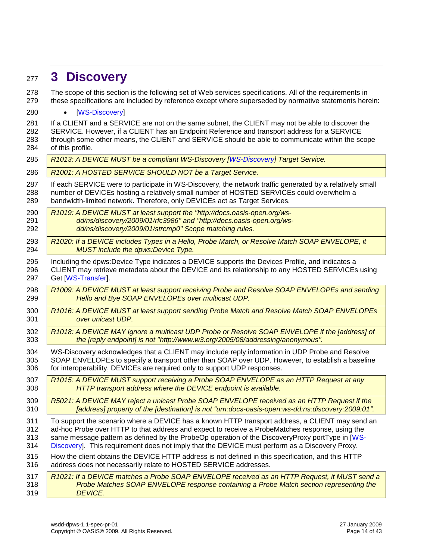# <span id="page-13-0"></span>**3 Discovery**

 The scope of this section is the following set of Web services specifications. All of the requirements in these specifications are included by reference except where superseded by normative statements herein:

280 • [\[WS-Discovery\]](#page-8-2)

281 If a CLIENT and a SERVICE are not on the same subnet, the CLIENT may not be able to discover the SERVICE. However, if a CLIENT has an Endpoint Reference and transport address for a SERVICE through some other means, the CLIENT and SERVICE should be able to communicate within the scope of this profile.

<span id="page-13-1"></span>

| 285 | R1013: A DEVICE MUST be a compliant WS-Discovery [WS-Discovery] Target Service.                          |
|-----|----------------------------------------------------------------------------------------------------------|
| 286 | R1001: A HOSTED SERVICE SHOULD NOT be a Target Service.                                                  |
| 287 | If each SERVICE were to participate in WS-Discovery, the network traffic generated by a relatively small |
| 288 | number of DEVICEs hosting a relatively small number of HOSTED SERVICEs could overwhelm a                 |
| 289 | bandwidth-limited network. Therefore, only DEVICEs act as Target Services.                               |
| 290 | R1019: A DEVICE MUST at least support the "http://docs.oasis-open.org/ws-                                |
| 291 | dd/ns/discovery/2009/01/rfc3986" and "http://docs.oasis-open.org/ws-                                     |
| 292 | dd/ns/discovery/2009/01/strcmp0" Scope matching rules.                                                   |
| 293 | R1020: If a DEVICE includes Types in a Hello, Probe Match, or Resolve Match SOAP ENVELOPE, it            |
| 294 | MUST include the dpws:Device Type.                                                                       |
| 295 | Including the dpws: Device Type indicates a DEVICE supports the Devices Profile, and indicates a         |
| 296 | CLIENT may retrieve metadata about the DEVICE and its relationship to any HOSTED SERVICEs using          |
| 297 | Get [WS-Transfer].                                                                                       |
| 298 | R1009: A DEVICE MUST at least support receiving Probe and Resolve SOAP ENVELOPEs and sending             |
| 299 | Hello and Bye SOAP ENVELOPEs over multicast UDP.                                                         |
| 300 | R1016: A DEVICE MUST at least support sending Probe Match and Resolve Match SOAP ENVELOPEs               |
| 301 | over unicast UDP.                                                                                        |
| 302 | R1018: A DEVICE MAY ignore a multicast UDP Probe or Resolve SOAP ENVELOPE if the [address] of            |
| 303 | the [reply endpoint] is not "http://www.w3.org/2005/08/addressing/anonymous".                            |
| 304 | WS-Discovery acknowledges that a CLIENT may include reply information in UDP Probe and Resolve           |
| 305 | SOAP ENVELOPEs to specify a transport other than SOAP over UDP. However, to establish a baseline         |
| 306 | for interoperability, DEVICEs are required only to support UDP responses.                                |
| 307 | R1015: A DEVICE MUST support receiving a Probe SOAP ENVELOPE as an HTTP Request at any                   |
| 308 | HTTP transport address where the DEVICE endpoint is available.                                           |
| 309 | R5021: A DEVICE MAY reject a unicast Probe SOAP ENVELOPE received as an HTTP Request if the              |
| 310 | [address] property of the [destination] is not "urn:docs-oasis-open:ws-dd:ns:discovery:2009:01".         |
| 311 | To support the scenario where a DEVICE has a known HTTP transport address, a CLIENT may send an          |
| 312 | ad-hoc Probe over HTTP to that address and expect to receive a ProbeMatches response, using the          |
| 313 | same message pattern as defined by the ProbeOp operation of the DiscoveryProxy portType in [WS-          |
| 314 | Discovery]. This requirement does not imply that the DEVICE must perform as a Discovery Proxy.           |
| 315 | How the client obtains the DEVICE HTTP address is not defined in this specification, and this HTTP       |
| 316 | address does not necessarily relate to HOSTED SERVICE addresses.                                         |
| 317 | R1021: If a DEVICE matches a Probe SOAP ENVELOPE received as an HTTP Request, it MUST send a             |
| 318 | Probe Matches SOAP ENVELOPE response containing a Probe Match section representing the                   |
| 319 | <b>DEVICE.</b>                                                                                           |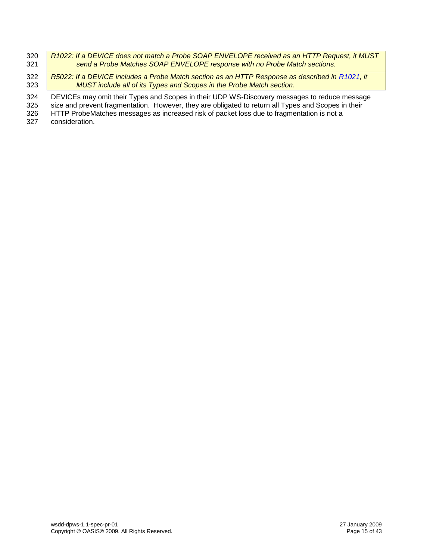| 320 | R1022: If a DEVICE does not match a Probe SOAP ENVELOPE received as an HTTP Request, it MUST |
|-----|----------------------------------------------------------------------------------------------|
| 321 | send a Probe Matches SOAP ENVELOPE response with no Probe Match sections.                    |

322 *R5022: If a DEVICE includes a Probe Match section as an HTTP Response as described in [R1021,](#page-13-1) it*  323 *MUST include all of its Types and Scopes in the Probe Match section.*

324 DEVICEs may omit their Types and Scopes in their UDP WS-Discovery messages to reduce message<br>325 size and prevent fragmentation. However, they are obligated to return all Types and Scopes in their

325 size and prevent fragmentation. However, they are obligated to return all Types and Scopes in their<br>326 HTTP ProbeMatches messages as increased risk of packet loss due to fragmentation is not a

HTTP ProbeMatches messages as increased risk of packet loss due to fragmentation is not a

327 consideration.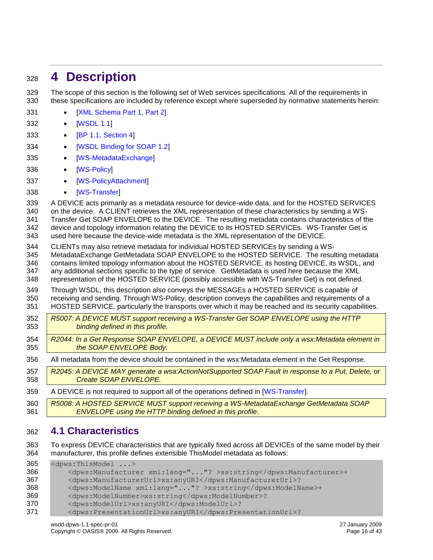# <span id="page-15-0"></span>**4 Description**

 The scope of this section is the following set of Web services specifications. All of the requirements in these specifications are included by reference except where superseded by normative statements herein:

- 331 [\[XML Schema Part 1,](#page-8-12) [Part 2\]](#page-8-13)
- 332 [\[WSDL 1.1\]](#page-8-3)
- 333 [\[BP 1.1, Section 4\]](#page-7-6)
- 334 [\[WSDL Binding for SOAP 1.2\]](#page-8-14)
- 335 [\[WS-MetadataExchange\]](#page-8-7)
- [\[WS-Policy\]](#page-8-5)
- 337 [\[WS-PolicyAttachment\]](#page-8-6)
- 338 [\[WS-Transfer\]](#page-9-1)

 A DEVICE acts primarily as a metadata resource for device-wide data, and for the HOSTED SERVICES on the device. A CLIENT retrieves the XML representation of these characteristics by sending a WS- Transfer Get SOAP ENVELOPE to the DEVICE. The resulting metadata contains characteristics of the device and topology information relating the DEVICE to its HOSTED SERVICEs. WS-Transfer Get is used here because the device-wide metadata is the XML representation of the DEVICE.

 CLIENTs may also retrieve metadata for individual HOSTED SERVICEs by sending a WS- MetadataExchange GetMetadata SOAP ENVELOPE to the HOSTED SERVICE. The resulting metadata contains limited topology information about the HOSTED SERVICE, its hosting DEVICE, its WSDL, and any additional sections specific to the type of service. GetMetadata is used here because the XML representation of the HOSTED SERVICE (possibly accessible with WS-Transfer Get) is not defined.

 Through WSDL, this description also conveys the MESSAGEs a HOSTED SERVICE is capable of receiving and sending. Through WS-Policy, description conveys the capabilities and requirements of a HOSTED SERVICE, particularly the transports over which it may be reached and its security capabilities.

- *R5007: A DEVICE MUST support receiving a WS-Transfer Get SOAP ENVELOPE using the HTTP binding defined in this profile.*
- *R2044: In a Get Response SOAP ENVELOPE, a DEVICE MUST include only a wsx:Metadata element in the SOAP ENVELOPE Body.*
- All metadata from the device should be contained in the wsx:Metadata element in the Get Response.
- *R2045: A DEVICE MAY generate a wsa:ActionNotSupported SOAP Fault in response to a Put, Delete, or Create SOAP ENVELOPE.*
- A DEVICE is not required to support all of the operations defined in [\[WS-Transfer\]](#page-8-11).
- *R5008: A HOSTED SERVICE MUST support receiving a WS-MetadataExchange GetMetadata SOAP ENVELOPE using the HTTP binding defined in this profile.*

### <span id="page-15-1"></span>**4.1 Characteristics**

 To express DEVICE characteristics that are typically fixed across all DEVICEs of the same model by their manufacturer, this profile defines extensible ThisModel metadata as follows:

 <dpws:ThisModel ...> <dpws:Manufacturer xml:lang="..."? >xs:string</dpws:Manufacturer>+ <dpws:ManufacturerUrl>xs:anyURI</dpws:ManufacturerUrl>? <dpws:ModelName xml:lang="..."? >xs:string</dpws:ModelName>+ <dpws:ModelNumber>xs:string</dpws:ModelNumber>? <dpws:ModelUrl>xs:anyURI</dpws:ModelUrl>? <dpws:PresentationUrl>xs:anyURI</dpws:PresentationUrl>?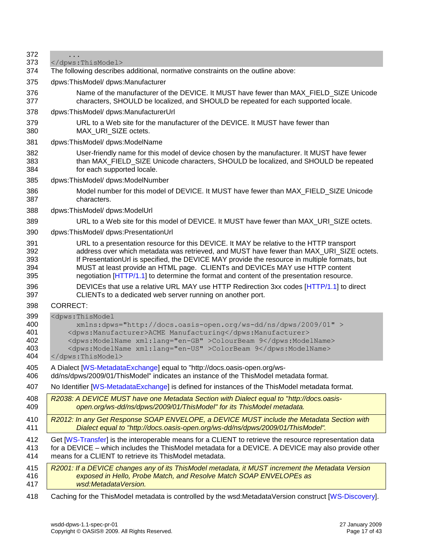| 372 |                                                                                                        |
|-----|--------------------------------------------------------------------------------------------------------|
| 373 |                                                                                                        |
| 374 | The following describes additional, normative constraints on the outline above:                        |
| 375 | dpws:ThisModel/dpws:Manufacturer                                                                       |
| 376 | Name of the manufacturer of the DEVICE. It MUST have fewer than MAX_FIELD_SIZE Unicode                 |
| 377 | characters, SHOULD be localized, and SHOULD be repeated for each supported locale.                     |
| 378 | dpws:ThisModel/ dpws:ManufacturerUrl                                                                   |
| 379 | URL to a Web site for the manufacturer of the DEVICE. It MUST have fewer than                          |
| 380 | MAX URI SIZE octets.                                                                                   |
| 381 | dpws:ThisModel/ dpws:ModelName                                                                         |
| 382 | User-friendly name for this model of device chosen by the manufacturer. It MUST have fewer             |
| 383 | than MAX_FIELD_SIZE Unicode characters, SHOULD be localized, and SHOULD be repeated                    |
| 384 | for each supported locale.                                                                             |
| 385 | dpws:ThisModel/ dpws:ModelNumber                                                                       |
| 386 | Model number for this model of DEVICE. It MUST have fewer than MAX_FIELD_SIZE Unicode                  |
| 387 | characters.                                                                                            |
| 388 | dpws:ThisModel/ dpws:ModelUrl                                                                          |
| 389 | URL to a Web site for this model of DEVICE. It MUST have fewer than MAX_URI_SIZE octets.               |
| 390 | dpws:ThisModel/ dpws:PresentationUrl                                                                   |
| 391 | URL to a presentation resource for this DEVICE. It MAY be relative to the HTTP transport               |
| 392 | address over which metadata was retrieved, and MUST have fewer than MAX_URI_SIZE octets.               |
| 393 | If PresentationUrl is specified, the DEVICE MAY provide the resource in multiple formats, but          |
| 394 | MUST at least provide an HTML page. CLIENTs and DEVICEs MAY use HTTP content                           |
| 395 | negotiation [HTTP/1.1] to determine the format and content of the presentation resource.               |
| 396 | DEVICEs that use a relative URL MAY use HTTP Redirection 3xx codes [HTTP/1.1] to direct                |
| 397 | CLIENTs to a dedicated web server running on another port.                                             |
| 398 | <b>CORRECT:</b>                                                                                        |
| 399 | <dpws:thismodel< td=""></dpws:thismodel<>                                                              |
| 400 | xmlns:dpws="http://docs.oasis-open.org/ws-dd/ns/dpws/2009/01" >                                        |
| 401 | <dpws:manufacturer>ACME Manufacturing</dpws:manufacturer>                                              |
| 402 | <dpws:modelname xml:lang="en-GB">ColourBeam 9</dpws:modelname>                                         |
| 403 | <dpws:modelname xml:lang="en-US">ColorBeam 9</dpws:modelname>                                          |
| 404 |                                                                                                        |
| 405 | A Dialect [WS-MetadataExchange] equal to "http://docs.oasis-open.org/ws-                               |
| 406 | dd/ns/dpws/2009/01/ThisModel" indicates an instance of the ThisModel metadata format.                  |
| 407 | No Identifier [WS-MetadataExchange] is defined for instances of the ThisModel metadata format.         |
| 408 | R2038: A DEVICE MUST have one Metadata Section with Dialect equal to "http://docs.oasis-               |
| 409 | open.org/ws-dd/ns/dpws/2009/01/ThisModel" for its ThisModel metadata.                                  |
| 410 | R2012: In any Get Response SOAP ENVELOPE, a DEVICE MUST include the Metadata Section with              |
| 411 | Dialect equal to "http://docs.oasis-open.org/ws-dd/ns/dpws/2009/01/ThisModel".                         |
| 412 | Get [WS-Transfer] is the interoperable means for a CLIENT to retrieve the resource representation data |
| 413 | for a DEVICE – which includes the ThisModel metadata for a DEVICE. A DEVICE may also provide other     |
| 414 | means for a CLIENT to retrieve its ThisModel metadata.                                                 |
| 415 | R2001: If a DEVICE changes any of its ThisModel metadata, it MUST increment the Metadata Version       |
| 416 | exposed in Hello, Probe Match, and Resolve Match SOAP ENVELOPEs as                                     |
| 417 | wsd:MetadataVersion.                                                                                   |
| 418 | Caching for the ThisModel metadata is controlled by the wsd:MetadataVersion construct [WS-Discovery].  |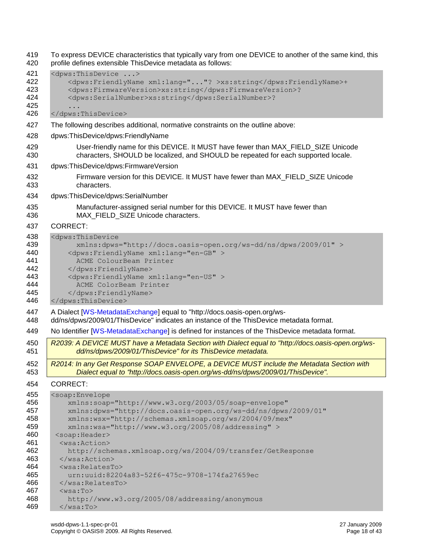To express DEVICE characteristics that typically vary from one DEVICE to another of the same kind, this profile defines extensible ThisDevice metadata as follows: <dpws:ThisDevice ...> <dpws:FriendlyName xml:lang="..."? >xs:string</dpws:FriendlyName>+ <dpws:FirmwareVersion>xs:string</dpws:FirmwareVersion>? 424 <dpws:SerialNumber>xs:string</dpws:SerialNumber>? ... </dpws:ThisDevice> The following describes additional, normative constraints on the outline above: dpws:ThisDevice/dpws:FriendlyName User-friendly name for this DEVICE. It MUST have fewer than MAX\_FIELD\_SIZE Unicode characters, SHOULD be localized, and SHOULD be repeated for each supported locale. dpws:ThisDevice/dpws:FirmwareVersion Firmware version for this DEVICE. It MUST have fewer than MAX\_FIELD\_SIZE Unicode characters. dpws:ThisDevice/dpws:SerialNumber Manufacturer-assigned serial number for this DEVICE. It MUST have fewer than 436 MAX FIELD SIZE Unicode characters. CORRECT: <dpws:ThisDevice xmlns:dpws="http://docs.oasis-open.org/ws-dd/ns/dpws/2009/01" > <dpws:FriendlyName xml:lang="en-GB" > ACME ColourBeam Printer 442 </dpws:FriendlyName> 443 <dpws:FriendlyName xml:lang="en-US"> ACME ColorBeam Printer 445 </dpws:FriendlyName> </dpws:ThisDevice> A Dialect [\[WS-MetadataExchange\]](#page-8-7) equal to "http://docs.oasis-open.org/ws- dd/ns/dpws/2009/01/ThisDevice" indicates an instance of the ThisDevice metadata format. No Identifier [\[WS-MetadataExchange\]](#page-8-7) is defined for instances of the ThisDevice metadata format. *R2039: A DEVICE MUST have a Metadata Section with Dialect equal to "http://docs.oasis-open.org/ws- dd/ns/dpws/2009/01/ThisDevice" for its ThisDevice metadata. R2014: In any Get Response SOAP ENVELOPE, a DEVICE MUST include the Metadata Section with Dialect equal to "http://docs.oasis-open.org/ws-dd/ns/dpws/2009/01/ThisDevice".* CORRECT: <soap:Envelope xmlns:soap="http://www.w3.org/2003/05/soap-envelope" xmlns:dpws="http://docs.oasis-open.org/ws-dd/ns/dpws/2009/01" xmlns:wsx="http://schemas.xmlsoap.org/ws/2004/09/mex" xmlns:wsa="http://www.w3.org/2005/08/addressing" > <soap:Header> <wsa:Action> http://schemas.xmlsoap.org/ws/2004/09/transfer/GetResponse </wsa:Action> <wsa:RelatesTo> urn:uuid:82204a83-52f6-475c-9708-174fa27659ec </wsa:RelatesTo> <wsa:To> http://www.w3.org/2005/08/addressing/anonymous </wsa:To>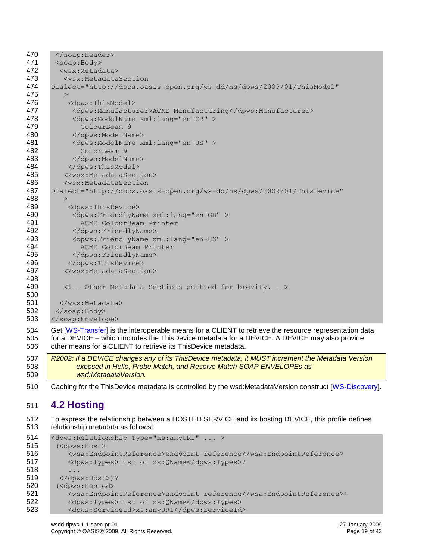| 470        |                                                                                                        |  |  |  |
|------------|--------------------------------------------------------------------------------------------------------|--|--|--|
| 471        | <soap:body></soap:body>                                                                                |  |  |  |
| 472        | <wsx:metadata></wsx:metadata>                                                                          |  |  |  |
| 473        | <wsx:metadatasection< th=""></wsx:metadatasection<>                                                    |  |  |  |
| 474        | Dialect="http://docs.oasis-open.org/ws-dd/ns/dpws/2009/01/ThisModel"                                   |  |  |  |
| 475        | $\geq$                                                                                                 |  |  |  |
| 476        | <dpws:thismodel></dpws:thismodel>                                                                      |  |  |  |
| 477        | <dpws:manufacturer>ACME Manufacturing</dpws:manufacturer>                                              |  |  |  |
| 478        | <dpws:modelname xml:lang="en-GB"></dpws:modelname>                                                     |  |  |  |
| 479        | ColourBeam 9                                                                                           |  |  |  |
| 480        | $\langle$ dpws: Model Name>                                                                            |  |  |  |
| 481        | <dpws:modelname xml:lang="en-US"></dpws:modelname>                                                     |  |  |  |
| 482        | ColorBeam 9                                                                                            |  |  |  |
| 483        |                                                                                                        |  |  |  |
| 484        |                                                                                                        |  |  |  |
| 485        |                                                                                                        |  |  |  |
| 486        | <wsx:metadatasection< th=""></wsx:metadatasection<>                                                    |  |  |  |
| 487        | Dialect="http://docs.oasis-open.org/ws-dd/ns/dpws/2009/01/ThisDevice"                                  |  |  |  |
| 488        | $\geq$                                                                                                 |  |  |  |
| 489        | <dpws:thisdevice></dpws:thisdevice>                                                                    |  |  |  |
| 490        | <dpws:friendlyname xml:lang="en-GB"></dpws:friendlyname>                                               |  |  |  |
| 491        | ACME ColourBeam Printer                                                                                |  |  |  |
| 492        |                                                                                                        |  |  |  |
| 493        | <dpws:friendlyname xml:lang="en-US"></dpws:friendlyname>                                               |  |  |  |
| 494        | ACME ColorBeam Printer                                                                                 |  |  |  |
| 495        |                                                                                                        |  |  |  |
| 496        |                                                                                                        |  |  |  |
| 497        |                                                                                                        |  |  |  |
| 498<br>499 |                                                                                                        |  |  |  |
| 500        | Other Metadata Sections omitted for brevity.                                                           |  |  |  |
| 501        |                                                                                                        |  |  |  |
| 502        |                                                                                                        |  |  |  |
| 503        |                                                                                                        |  |  |  |
|            |                                                                                                        |  |  |  |
| 504        | Get [WS-Transfer] is the interoperable means for a CLIENT to retrieve the resource representation data |  |  |  |
| 505        | for a DEVICE – which includes the ThisDevice metadata for a DEVICE. A DEVICE may also provide          |  |  |  |

506 other means for a CLIENT to retrieve its ThisDevice metadata.

507 *R2002: If a DEVICE changes any of its ThisDevice metadata, it MUST increment the Metadata Version*  508 *exposed in Hello, Probe Match, and Resolve Match SOAP ENVELOPEs as*  509 *wsd:MetadataVersion.*

510 Caching for the ThisDevice metadata is controlled by the wsd:MetadataVersion construct [\[WS-Discovery\]](#page-8-2).

### <span id="page-18-0"></span>511 **4.2 Hosting**

512 To express the relationship between a HOSTED SERVICE and its hosting DEVICE, this profile defines 513 relationship metadata as follows:

```
514 <dpws: Relationship Type="xs: anyURI" ... >
515 (<dpws:Host>
516 <wsa:EndpointReference>endpoint-reference</wsa:EndpointReference>
517 <dpws:Types>list of xs:QName</dpws:Types>?
518 ...
519 </dpws:Host>)?
520 (<dpws:Hosted>
521 <wsa:EndpointReference>endpoint-reference</wsa:EndpointReference>+
522 <dpws:Types>list of xs:QName</dpws:Types>
523 <dpws:ServiceId>xs:anyURI</dpws:ServiceId>
```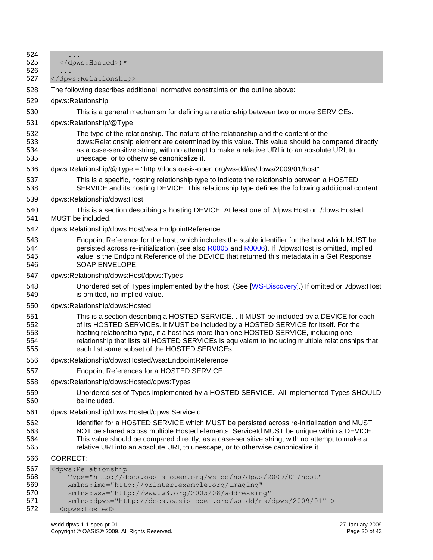| 524<br>525<br>526                      | .<br>) *                                                                                                                                                                                                                                                                                                                                                                                                                        |  |  |  |
|----------------------------------------|---------------------------------------------------------------------------------------------------------------------------------------------------------------------------------------------------------------------------------------------------------------------------------------------------------------------------------------------------------------------------------------------------------------------------------|--|--|--|
| 527                                    |                                                                                                                                                                                                                                                                                                                                                                                                                                 |  |  |  |
| 528                                    | The following describes additional, normative constraints on the outline above:                                                                                                                                                                                                                                                                                                                                                 |  |  |  |
| 529                                    | dpws:Relationship                                                                                                                                                                                                                                                                                                                                                                                                               |  |  |  |
| 530                                    | This is a general mechanism for defining a relationship between two or more SERVICEs.                                                                                                                                                                                                                                                                                                                                           |  |  |  |
| 531                                    | dpws:Relationship/@Type                                                                                                                                                                                                                                                                                                                                                                                                         |  |  |  |
| 532<br>533<br>534<br>535               | The type of the relationship. The nature of the relationship and the content of the<br>dpws:Relationship element are determined by this value. This value should be compared directly,<br>as a case-sensitive string, with no attempt to make a relative URI into an absolute URI, to<br>unescape, or to otherwise canonicalize it.                                                                                             |  |  |  |
| 536                                    | dpws:Relationship/@Type = "http://docs.oasis-open.org/ws-dd/ns/dpws/2009/01/host"                                                                                                                                                                                                                                                                                                                                               |  |  |  |
| 537<br>538                             | This is a specific, hosting relationship type to indicate the relationship between a HOSTED<br>SERVICE and its hosting DEVICE. This relationship type defines the following additional content:                                                                                                                                                                                                                                 |  |  |  |
| 539                                    | dpws:Relationship/dpws:Host                                                                                                                                                                                                                                                                                                                                                                                                     |  |  |  |
| 540<br>541                             | This is a section describing a hosting DEVICE. At least one of ./dpws:Host or ./dpws:Hosted<br>MUST be included.                                                                                                                                                                                                                                                                                                                |  |  |  |
| 542                                    | dpws:Relationship/dpws:Host/wsa:EndpointReference                                                                                                                                                                                                                                                                                                                                                                               |  |  |  |
| 543<br>544<br>545<br>546               | Endpoint Reference for the host, which includes the stable identifier for the host which MUST be<br>persisted across re-initialization (see also R0005 and R0006). If ./dpws:Host is omitted, implied<br>value is the Endpoint Reference of the DEVICE that returned this metadata in a Get Response<br>SOAP ENVELOPE.                                                                                                          |  |  |  |
| 547                                    | dpws:Relationship/dpws:Host/dpws:Types                                                                                                                                                                                                                                                                                                                                                                                          |  |  |  |
| 548<br>549                             | Unordered set of Types implemented by the host. (See [WS-Discovery].) If omitted or ./dpws:Host<br>is omitted, no implied value.                                                                                                                                                                                                                                                                                                |  |  |  |
| 550                                    | dpws:Relationship/dpws:Hosted                                                                                                                                                                                                                                                                                                                                                                                                   |  |  |  |
| 551<br>552<br>553<br>554<br>555        | This is a section describing a HOSTED SERVICE. . It MUST be included by a DEVICE for each<br>of its HOSTED SERVICEs. It MUST be included by a HOSTED SERVICE for itself. For the<br>hosting relationship type, if a host has more than one HOSTED SERVICE, including one<br>relationship that lists all HOSTED SERVICEs is equivalent to including multiple relationships that<br>each list some subset of the HOSTED SERVICEs. |  |  |  |
| 556                                    | dpws:Relationship/dpws:Hosted/wsa:EndpointReference                                                                                                                                                                                                                                                                                                                                                                             |  |  |  |
| 557                                    | Endpoint References for a HOSTED SERVICE.                                                                                                                                                                                                                                                                                                                                                                                       |  |  |  |
| 558                                    | dpws:Relationship/dpws:Hosted/dpws:Types                                                                                                                                                                                                                                                                                                                                                                                        |  |  |  |
| 559<br>560                             | Unordered set of Types implemented by a HOSTED SERVICE. All implemented Types SHOULD<br>be included.                                                                                                                                                                                                                                                                                                                            |  |  |  |
| 561                                    | dpws:Relationship/dpws:Hosted/dpws:ServiceId                                                                                                                                                                                                                                                                                                                                                                                    |  |  |  |
| 562<br>563<br>564<br>565               | Identifier for a HOSTED SERVICE which MUST be persisted across re-initialization and MUST<br>NOT be shared across multiple Hosted elements. Serviceld MUST be unique within a DEVICE.<br>This value should be compared directly, as a case-sensitive string, with no attempt to make a<br>relative URI into an absolute URI, to unescape, or to otherwise canonicalize it.                                                      |  |  |  |
| 566                                    | <b>CORRECT:</b>                                                                                                                                                                                                                                                                                                                                                                                                                 |  |  |  |
| 567<br>568<br>569<br>570<br>571<br>572 | <dpws: relationship<br="">Type="http://docs.oasis-open.org/ws-dd/ns/dpws/2009/01/host"<br/>xmlns:img="http://printer.example.org/imaging"<br/>xmlns:wsa="http://www.w3.org/2005/08/addressing"<br/>xmlns:dpws="http://docs.oasis-open.org/ws-dd/ns/dpws/2009/01" &gt;<br/><dpws: hosted=""></dpws:></dpws:>                                                                                                                     |  |  |  |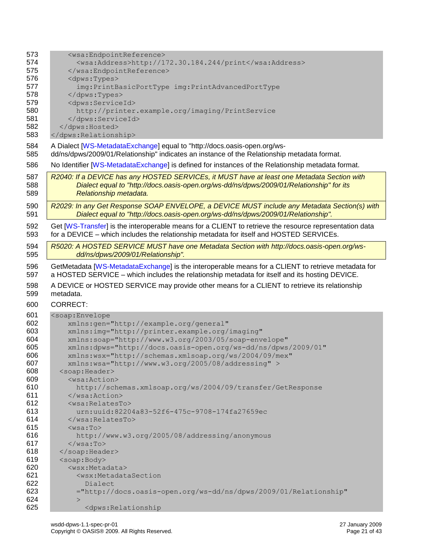| 573                                                    | <wsa:endpointreference></wsa:endpointreference>                                                                                                                                         |  |  |  |  |  |
|--------------------------------------------------------|-----------------------------------------------------------------------------------------------------------------------------------------------------------------------------------------|--|--|--|--|--|
| 574                                                    | <wsa:address>http://172.30.184.244/print</wsa:address>                                                                                                                                  |  |  |  |  |  |
| 575                                                    |                                                                                                                                                                                         |  |  |  |  |  |
| 576                                                    | <dpws:types></dpws:types>                                                                                                                                                               |  |  |  |  |  |
| 577                                                    | img: PrintBasicPortType img: PrintAdvancedPortType                                                                                                                                      |  |  |  |  |  |
| 578<br>                                                |                                                                                                                                                                                         |  |  |  |  |  |
| 579                                                    | <dpws:serviceid></dpws:serviceid>                                                                                                                                                       |  |  |  |  |  |
| 580<br>http://printer.example.org/imaging/PrintService |                                                                                                                                                                                         |  |  |  |  |  |
| 581                                                    |                                                                                                                                                                                         |  |  |  |  |  |
| 582                                                    |                                                                                                                                                                                         |  |  |  |  |  |
| 583                                                    |                                                                                                                                                                                         |  |  |  |  |  |
| 584                                                    | A Dialect [WS-MetadataExchange] equal to "http://docs.oasis-open.org/ws-                                                                                                                |  |  |  |  |  |
| 585                                                    | dd/ns/dpws/2009/01/Relationship" indicates an instance of the Relationship metadata format.                                                                                             |  |  |  |  |  |
|                                                        |                                                                                                                                                                                         |  |  |  |  |  |
| 586                                                    | No Identifier [WS-MetadataExchange] is defined for instances of the Relationship metadata format.                                                                                       |  |  |  |  |  |
| 587<br>588                                             | R2040: If a DEVICE has any HOSTED SERVICEs, it MUST have at least one Metadata Section with<br>Dialect equal to "http://docs.oasis-open.org/ws-dd/ns/dpws/2009/01/Relationship" for its |  |  |  |  |  |
| 589                                                    | Relationship metadata.                                                                                                                                                                  |  |  |  |  |  |
|                                                        |                                                                                                                                                                                         |  |  |  |  |  |
| 590                                                    | R2029: In any Get Response SOAP ENVELOPE, a DEVICE MUST include any Metadata Section(s) with                                                                                            |  |  |  |  |  |
| 591                                                    | Dialect equal to "http://docs.oasis-open.org/ws-dd/ns/dpws/2009/01/Relationship".                                                                                                       |  |  |  |  |  |
| 592                                                    | Get [WS-Transfer] is the interoperable means for a CLIENT to retrieve the resource representation data                                                                                  |  |  |  |  |  |
| 593                                                    | for a DEVICE - which includes the relationship metadata for itself and HOSTED SERVICEs.                                                                                                 |  |  |  |  |  |
| 594                                                    | R5020: A HOSTED SERVICE MUST have one Metadata Section with http://docs.oasis-open.org/ws-                                                                                              |  |  |  |  |  |
| 595                                                    | dd/ns/dpws/2009/01/Relationship".                                                                                                                                                       |  |  |  |  |  |
|                                                        |                                                                                                                                                                                         |  |  |  |  |  |
| 596                                                    | GetMetadata [WS-MetadataExchange] is the interoperable means for a CLIENT to retrieve metadata for                                                                                      |  |  |  |  |  |
| 597                                                    | a HOSTED SERVICE - which includes the relationship metadata for itself and its hosting DEVICE.                                                                                          |  |  |  |  |  |
|                                                        |                                                                                                                                                                                         |  |  |  |  |  |
|                                                        |                                                                                                                                                                                         |  |  |  |  |  |
| 598                                                    | A DEVICE or HOSTED SERVICE may provide other means for a CLIENT to retrieve its relationship<br>metadata.                                                                               |  |  |  |  |  |
| 599                                                    |                                                                                                                                                                                         |  |  |  |  |  |
| 600                                                    | <b>CORRECT:</b>                                                                                                                                                                         |  |  |  |  |  |
| 601                                                    | <soap:envelope< th=""></soap:envelope<>                                                                                                                                                 |  |  |  |  |  |
| 602                                                    | xmlns:gen="http://example.org/general"                                                                                                                                                  |  |  |  |  |  |
| 603                                                    | xmlns:img="http://printer.example.org/imaging"                                                                                                                                          |  |  |  |  |  |
| 604                                                    | xmlns:soap="http://www.w3.org/2003/05/soap-envelope"                                                                                                                                    |  |  |  |  |  |
| 605                                                    | xmlns:dpws="http://docs.oasis-open.org/ws-dd/ns/dpws/2009/01"                                                                                                                           |  |  |  |  |  |
| 606                                                    | xmlns:wsx="http://schemas.xmlsoap.org/ws/2004/09/mex"                                                                                                                                   |  |  |  |  |  |
| 607                                                    | xmlns:wsa="http://www.w3.org/2005/08/addressing" >                                                                                                                                      |  |  |  |  |  |
| 608                                                    | <soap:header></soap:header>                                                                                                                                                             |  |  |  |  |  |
| 609                                                    | $<$ wsa: Action>                                                                                                                                                                        |  |  |  |  |  |
| 610                                                    | http://schemas.xmlsoap.org/ws/2004/09/transfer/GetResponse                                                                                                                              |  |  |  |  |  |
| 611                                                    | $\langle$ /wsa:Action>                                                                                                                                                                  |  |  |  |  |  |
| 612                                                    | <wsa:relatesto></wsa:relatesto>                                                                                                                                                         |  |  |  |  |  |
| 613                                                    | urn:uuid:82204a83-52f6-475c-9708-174fa27659ec                                                                                                                                           |  |  |  |  |  |
| 614                                                    |                                                                                                                                                                                         |  |  |  |  |  |
| 615                                                    | $<$ wsa:To $>$                                                                                                                                                                          |  |  |  |  |  |
| 616                                                    | http://www.w3.org/2005/08/addressing/anonymous                                                                                                                                          |  |  |  |  |  |
| 617                                                    | $\langle$ /wsa:To>                                                                                                                                                                      |  |  |  |  |  |
| 618                                                    |                                                                                                                                                                                         |  |  |  |  |  |
| 619                                                    | <soap:body></soap:body>                                                                                                                                                                 |  |  |  |  |  |
| 620                                                    | <wsx:metadata></wsx:metadata>                                                                                                                                                           |  |  |  |  |  |
| 621                                                    | <wsx:metadatasection< th=""></wsx:metadatasection<>                                                                                                                                     |  |  |  |  |  |
| 622                                                    | Dialect                                                                                                                                                                                 |  |  |  |  |  |
| 623                                                    | ="http://docs.oasis-open.org/ws-dd/ns/dpws/2009/01/Relationship"                                                                                                                        |  |  |  |  |  |
| 624                                                    | $\mathbf{L}$                                                                                                                                                                            |  |  |  |  |  |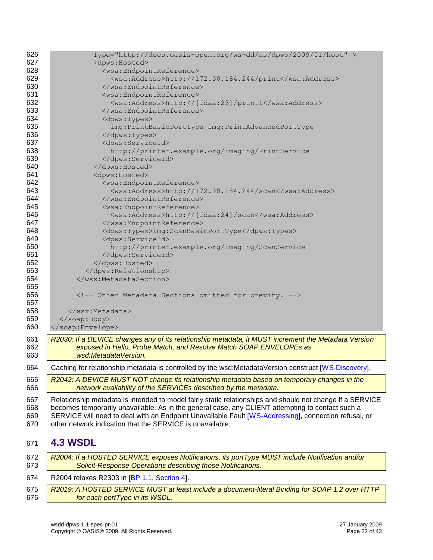| 626     | Type="http://docs.oasis-open.org/ws-dd/ns/dpws/2009/01/host" >                                            |  |  |  |  |
|---------|-----------------------------------------------------------------------------------------------------------|--|--|--|--|
| 627     | <dpws: hosted=""></dpws:>                                                                                 |  |  |  |  |
| 628     | <wsa:endpointreference></wsa:endpointreference>                                                           |  |  |  |  |
| 629     | <wsa:address>http://172.30.184.244/print</wsa:address>                                                    |  |  |  |  |
| 630     |                                                                                                           |  |  |  |  |
| 631     | <wsa:endpointreference></wsa:endpointreference>                                                           |  |  |  |  |
| 632     | <wsa:address>http://[fdaa:23]/print1</wsa:address>                                                        |  |  |  |  |
| 633     |                                                                                                           |  |  |  |  |
| 634     | <dpws:types></dpws:types>                                                                                 |  |  |  |  |
| 635     | img: PrintBasicPortType img: PrintAdvancedPortType                                                        |  |  |  |  |
| 636<br> |                                                                                                           |  |  |  |  |
| 637     | <dpws:serviceid></dpws:serviceid>                                                                         |  |  |  |  |
| 638     | http://printer.example.org/imaging/PrintService                                                           |  |  |  |  |
| 639     |                                                                                                           |  |  |  |  |
| 640     |                                                                                                           |  |  |  |  |
| 641     | <dpws: hosted=""></dpws:>                                                                                 |  |  |  |  |
| 642     | <wsa:endpointreference></wsa:endpointreference>                                                           |  |  |  |  |
| 643     | <wsa:address>http://172.30.184.244/scan</wsa:address>                                                     |  |  |  |  |
| 644     |                                                                                                           |  |  |  |  |
| 645     | <wsa:endpointreference></wsa:endpointreference>                                                           |  |  |  |  |
| 646     | <wsa:address>http://[fdaa:24]/scan</wsa:address>                                                          |  |  |  |  |
| 647     |                                                                                                           |  |  |  |  |
| 648     | <dpws:types>img:ScanBasicPortType</dpws:types>                                                            |  |  |  |  |
| 649     | <dpws:serviceid></dpws:serviceid>                                                                         |  |  |  |  |
| 650     | http://printer.example.org/imaging/ScanService                                                            |  |  |  |  |
| 651     |                                                                                                           |  |  |  |  |
| 652     |                                                                                                           |  |  |  |  |
| 653     |                                                                                                           |  |  |  |  |
| 654     |                                                                                                           |  |  |  |  |
| 655     |                                                                                                           |  |  |  |  |
| 656     | Other Metadata Sections omitted for brevity.                                                              |  |  |  |  |
| 657     |                                                                                                           |  |  |  |  |
| 658     |                                                                                                           |  |  |  |  |
| 659     |                                                                                                           |  |  |  |  |
| 660     |                                                                                                           |  |  |  |  |
| 661     | R2030: If a DEVICE changes any of its relationship metadata, it MUST increment the Metadata Version       |  |  |  |  |
| 662     | exposed in Hello, Probe Match, and Resolve Match SOAP ENVELOPEs as                                        |  |  |  |  |
| 663     | wsd:MetadataVersion.                                                                                      |  |  |  |  |
| 664     | Caching for relationship metadata is controlled by the wsd:MetadataVersion construct [WS-Discovery].      |  |  |  |  |
| 665     | R2042: A DEVICE MUST NOT change its relationship metadata based on temporary changes in the               |  |  |  |  |
| 666     | network availability of the SERVICEs described by the metadata.                                           |  |  |  |  |
| 667     | Relationship metadata is intended to model fairly static relationships and should not change if a SERVICE |  |  |  |  |
| 668     | becomes temporarily unavailable. As in the general case, any CLIENT attempting to contact such a          |  |  |  |  |
| 669     | SERVICE will need to deal with an Endpoint Unavailable Fault [WS-Addressing], connection refusal, or      |  |  |  |  |
| 670     | other network indication that the SERVICE is unavailable.                                                 |  |  |  |  |
|         |                                                                                                           |  |  |  |  |
| 671     | <b>4.3 WSDL</b>                                                                                           |  |  |  |  |
| 672     | R2004: If a HOSTED SERVICE exposes Notifications, its portType MUST include Notification and/or           |  |  |  |  |
| 673     | Solicit-Response Operations describing those Notifications.                                               |  |  |  |  |

<span id="page-21-0"></span>R2004 relaxes R2303 in [\[BP 1.1, Section 4\]](#page-7-6).

<span id="page-21-1"></span> *R2019: A HOSTED SERVICE MUST at least include a document-literal Binding for SOAP 1.2 over HTTP*  for each portType in its WSDL.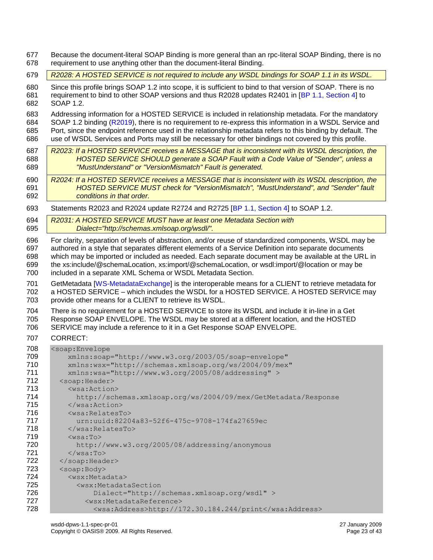Because the document-literal SOAP Binding is more general than an rpc-literal SOAP Binding, there is no requirement to use anything other than the document-literal Binding.

*R2028: A HOSTED SERVICE is not required to include any WSDL bindings for SOAP 1.1 in its WSDL.*

 Since this profile brings SOAP 1.2 into scope, it is sufficient to bind to that version of SOAP. There is no requirement to bind to other SOAP versions and thus R2028 updates R2401 in [\[BP 1.1, Section 4\]](#page-7-6) to SOAP 1.2.

 Addressing information for a HOSTED SERVICE is included in relationship metadata. For the mandatory SOAP 1.2 binding [\(R2019\)](#page-21-1), there is no requirement to re-express this information in a WSDL Service and Port, since the endpoint reference used in the relationship metadata refers to this binding by default. The use of WSDL Services and Ports may still be necessary for other bindings not covered by this profile.

- *R2023: If a HOSTED SERVICE receives a MESSAGE that is inconsistent with its WSDL description, the HOSTED SERVICE SHOULD generate a SOAP Fault with a Code Value of "Sender", unless a "MustUnderstand" or "VersionMismatch" Fault is generated.*
- *R2024: If a HOSTED SERVICE receives a MESSAGE that is inconsistent with its WSDL description, the HOSTED SERVICE MUST check for "VersionMismatch", "MustUnderstand", and "Sender" fault conditions in that order.*
- Statements R2023 and R2024 update R2724 and R2725 [\[BP 1.1, Section 4\]](#page-7-6) to SOAP 1.2.
- *R2031: A HOSTED SERVICE MUST have at least one Metadata Section with Dialect="http://schemas.xmlsoap.org/wsdl/".*

 For clarity, separation of levels of abstraction, and/or reuse of standardized components, WSDL may be authored in a style that separates different elements of a Service Definition into separate documents which may be imported or included as needed. Each separate document may be available at the URL in the xs:include/@schemaLocation, xs:import/@schemaLocation, or wsdl:import/@location or may be

included in a separate XML Schema or WSDL Metadata Section.

 GetMetadata [\[WS-MetadataExchange\]](#page-8-7) is the interoperable means for a CLIENT to retrieve metadata for a HOSTED SERVICE – which includes the WSDL for a HOSTED SERVICE. A HOSTED SERVICE may provide other means for a CLIENT to retrieve its WSDL.

 There is no requirement for a HOSTED SERVICE to store its WSDL and include it in-line in a Get Response SOAP ENVELOPE. The WSDL may be stored at a different location, and the HOSTED SERVICE may include a reference to it in a Get Response SOAP ENVELOPE.

#### CORRECT:

| 708 | <soap:envelope< th=""></soap:envelope<>                        |
|-----|----------------------------------------------------------------|
| 709 | xmlns:soap="http://www.w3.org/2003/05/soap-envelope"           |
| 710 | xmlns:wsx="http://schemas.xmlsoap.org/ws/2004/09/mex"          |
| 711 | $xmlns:wsa="http://www.w3.org/2005/08/addressing"$             |
| 712 | <soap:header></soap:header>                                    |
| 713 | $<$ wsa: Action $>$                                            |
| 714 | http://schemas.xmlsoap.org/ws/2004/09/mex/GetMetadata/Response |
| 715 | $\langle$ /wsa:Action>                                         |
| 716 | $<$ wsa: RelatesTo $>$                                         |
| 717 | urn:uuid:82204a83-52f6-475c-9708-174fa27659ec                  |
| 718 | $\langle$ /wsa:RelatesTo>                                      |
| 719 | $<$ wsa:To $>$                                                 |
| 720 | http://www.w3.org/2005/08/addressing/anonymous                 |
| 721 | $\langle$ /wsa:To>                                             |
| 722 |                                                                |
| 723 | <soap:body></soap:body>                                        |
| 724 | <wsx:metadata></wsx:metadata>                                  |
| 725 | <wsx:metadatasection< th=""></wsx:metadatasection<>            |
| 726 | Dialect="http://schemas.xmlsoap.org/wsdl" >                    |
| 727 | <wsx:metadatareference></wsx:metadatareference>                |
| 728 | <wsa:address>http://172.30.184.244/print</wsa:address>         |
|     |                                                                |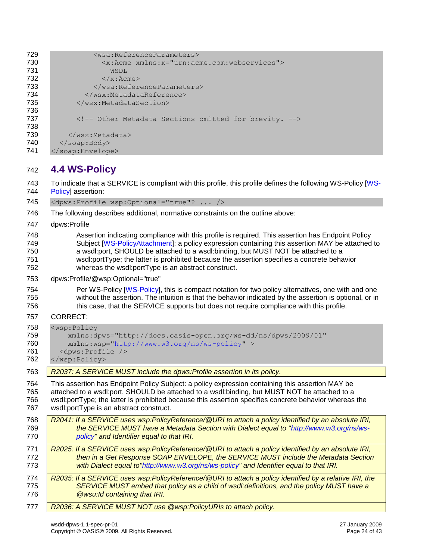<span id="page-23-0"></span>

| 729                                      | <wsa:referenceparameters></wsa:referenceparameters>                                                                                                                                                                                                                                                                                                                                     |  |  |  |
|------------------------------------------|-----------------------------------------------------------------------------------------------------------------------------------------------------------------------------------------------------------------------------------------------------------------------------------------------------------------------------------------------------------------------------------------|--|--|--|
| 730                                      | <x:acme xmlns:x="urn:acme.com:webservices"></x:acme>                                                                                                                                                                                                                                                                                                                                    |  |  |  |
| 731                                      | WSDL                                                                                                                                                                                                                                                                                                                                                                                    |  |  |  |
| 732<br>$\langle x : \text{Acme} \rangle$ |                                                                                                                                                                                                                                                                                                                                                                                         |  |  |  |
| 733                                      |                                                                                                                                                                                                                                                                                                                                                                                         |  |  |  |
| 734                                      |                                                                                                                                                                                                                                                                                                                                                                                         |  |  |  |
| 735<br>                                  |                                                                                                                                                                                                                                                                                                                                                                                         |  |  |  |
| 736                                      |                                                                                                                                                                                                                                                                                                                                                                                         |  |  |  |
| 737                                      | Other Metadata Sections omitted for brevity.                                                                                                                                                                                                                                                                                                                                            |  |  |  |
| 738                                      |                                                                                                                                                                                                                                                                                                                                                                                         |  |  |  |
| 739                                      |                                                                                                                                                                                                                                                                                                                                                                                         |  |  |  |
| 740                                      |                                                                                                                                                                                                                                                                                                                                                                                         |  |  |  |
| 741                                      |                                                                                                                                                                                                                                                                                                                                                                                         |  |  |  |
| 742                                      | 4.4 WS-Policy                                                                                                                                                                                                                                                                                                                                                                           |  |  |  |
| 743<br>744                               | To indicate that a SERVICE is compliant with this profile, this profile defines the following WS-Policy [WS-<br>Policy] assertion:                                                                                                                                                                                                                                                      |  |  |  |
| 745                                      | <dpws:profile ?="" wsp:optional="true"></dpws:profile>                                                                                                                                                                                                                                                                                                                                  |  |  |  |
| 746                                      | The following describes additional, normative constraints on the outline above:                                                                                                                                                                                                                                                                                                         |  |  |  |
| 747                                      | dpws:Profile                                                                                                                                                                                                                                                                                                                                                                            |  |  |  |
| 748<br>749<br>750<br>751<br>752          | Assertion indicating compliance with this profile is required. This assertion has Endpoint Policy<br>Subject [WS-PolicyAttachment]: a policy expression containing this assertion MAY be attached to<br>a wsdl:port, SHOULD be attached to a wsdl:binding, but MUST NOT be attached to a<br>wsdl:portType; the latter is prohibited because the assertion specifies a concrete behavior |  |  |  |
| 753                                      | whereas the wsdl:portType is an abstract construct.<br>dpws:Profile/@wsp:Optional="true"                                                                                                                                                                                                                                                                                                |  |  |  |
| 754<br>755<br>756                        | Per WS-Policy [WS-Policy], this is compact notation for two policy alternatives, one with and one<br>without the assertion. The intuition is that the behavior indicated by the assertion is optional, or in<br>this case, that the SERVICE supports but does not require compliance with this profile.                                                                                 |  |  |  |
| 757                                      | <b>CORRECT:</b>                                                                                                                                                                                                                                                                                                                                                                         |  |  |  |
| 758<br>759<br>760<br>761<br>762          | <wsp:policy<br>xmlns:dpws="http://docs.oasis-open.org/ws-dd/ns/dpws/2009/01"<br/>xmlns:wsp="http://www.w3.org/ns/ws-policy" &gt;<br/><dpws: profile=""></dpws:><br/></wsp:policy<br>                                                                                                                                                                                                    |  |  |  |
| 763                                      | R2037: A SERVICE MUST include the dpws: Profile assertion in its policy.                                                                                                                                                                                                                                                                                                                |  |  |  |
| 764<br>765<br>766<br>767                 | This assertion has Endpoint Policy Subject: a policy expression containing this assertion MAY be<br>attached to a wsdl:port, SHOULD be attached to a wsdl:binding, but MUST NOT be attached to a<br>wsdl:portType; the latter is prohibited because this assertion specifies concrete behavior whereas the<br>wsdl:portType is an abstract construct.                                   |  |  |  |
| 768<br>769<br>770                        | R2041: If a SERVICE uses wsp:PolicyReference/@URI to attach a policy identified by an absolute IRI,<br>the SERVICE MUST have a Metadata Section with Dialect equal to "http://www.w3.org/ns/ws-<br>policy" and Identifier equal to that IRI.                                                                                                                                            |  |  |  |
| 771<br>772<br>773                        | R2025: If a SERVICE uses wsp:PolicyReference/@URI to attach a policy identified by an absolute IRI,<br>then in a Get Response SOAP ENVELOPE, the SERVICE MUST include the Metadata Section<br>with Dialect equal to"http://www.w3.org/ns/ws-policy" and Identifier equal to that IRI.                                                                                                   |  |  |  |
| 774<br>775<br>776                        | R2035: If a SERVICE uses wsp:PolicyReference/@URI to attach a policy identified by a relative IRI, the<br>SERVICE MUST embed that policy as a child of wsdl: definitions, and the policy MUST have a<br><b>@wsu:Id containing that IRI.</b>                                                                                                                                             |  |  |  |
| 777                                      | R2036: A SERVICE MUST NOT use @wsp:PolicyURIs to attach policy.                                                                                                                                                                                                                                                                                                                         |  |  |  |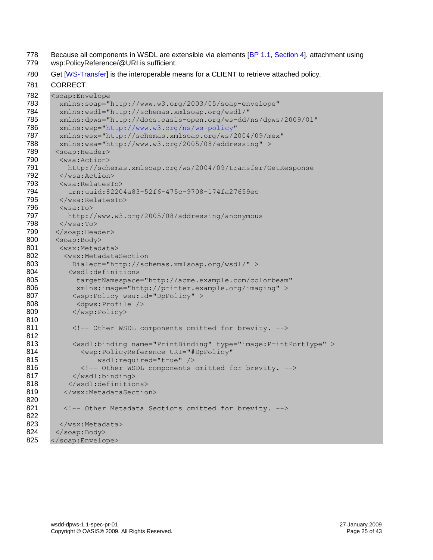- 778 Because all components in WSDL are extensible via elements [\[BP 1.1, Section 4\]](#page-7-6), attachment using<br>779 wsp:PolicyReference/@URI is sufficient.
- wsp:PolicyReference/@URI is sufficient.
- 780 Get [\[WS-Transfer\]](#page-8-11) is the interoperable means for a CLIENT to retrieve attached policy.

CORRECT:

| 782 | <soap:envelope< th=""></soap:envelope<>                                      |  |  |  |  |
|-----|------------------------------------------------------------------------------|--|--|--|--|
| 783 | xmlns:soap="http://www.w3.org/2003/05/soap-envelope"                         |  |  |  |  |
| 784 | xmlns:wsdl="http://schemas.xmlsoap.org/wsdl/"                                |  |  |  |  |
| 785 | xmlns:dpws="http://docs.oasis-open.org/ws-dd/ns/dpws/2009/01"                |  |  |  |  |
| 786 | xmlns:wsp="http://www.w3.org/ns/ws-policy"                                   |  |  |  |  |
| 787 | xmlns:wsx="http://schemas.xmlsoap.org/ws/2004/09/mex"                        |  |  |  |  |
| 788 | xmlns:wsa="http://www.w3.org/2005/08/addressing" >                           |  |  |  |  |
| 789 | <soap:header></soap:header>                                                  |  |  |  |  |
| 790 | $<$ wsa: Action $>$                                                          |  |  |  |  |
| 791 | http://schemas.xmlsoap.org/ws/2004/09/transfer/GetResponse                   |  |  |  |  |
| 792 |                                                                              |  |  |  |  |
| 793 | <wsa:relatesto></wsa:relatesto>                                              |  |  |  |  |
| 794 | urn:uuid:82204a83-52f6-475c-9708-174fa27659ec                                |  |  |  |  |
| 795 |                                                                              |  |  |  |  |
| 796 | $<$ wsa:To $>$                                                               |  |  |  |  |
| 797 | http://www.w3.org/2005/08/addressing/anonymous                               |  |  |  |  |
| 798 | $\langle$ /wsa:To>                                                           |  |  |  |  |
| 799 |                                                                              |  |  |  |  |
| 800 | <soap:body></soap:body>                                                      |  |  |  |  |
| 801 | <wsx:metadata></wsx:metadata>                                                |  |  |  |  |
| 802 | <wsx:metadatasection< th=""></wsx:metadatasection<>                          |  |  |  |  |
| 803 | Dialect="http://schemas.xmlsoap.org/wsdl/" >                                 |  |  |  |  |
| 804 | <wsdl:definitions< th=""></wsdl:definitions<>                                |  |  |  |  |
| 805 | targetNamespace="http://acme.example.com/colorbeam"                          |  |  |  |  |
| 806 | xmlns:image="http://printer.example.org/imaging" >                           |  |  |  |  |
| 807 | <wsp:policy wsu:id="DpPolicy"></wsp:policy>                                  |  |  |  |  |
| 808 | <dpws:profile></dpws:profile>                                                |  |  |  |  |
| 809 |                                                                              |  |  |  |  |
| 810 |                                                                              |  |  |  |  |
| 811 | Other WSDL components omitted for brevity.                                   |  |  |  |  |
| 812 |                                                                              |  |  |  |  |
| 813 | <wsdl:binding name="PrintBinding" type="image:PrintPortType"></wsdl:binding> |  |  |  |  |
| 814 | <wsp:policyreference <="" th="" uri="#DpPolicy"></wsp:policyreference>       |  |  |  |  |
| 815 | wsdl: required="true" />                                                     |  |  |  |  |
| 816 | Other WSDL components omitted for brevity.                                   |  |  |  |  |
| 817 |                                                                              |  |  |  |  |
| 818 |                                                                              |  |  |  |  |
| 819 |                                                                              |  |  |  |  |
| 820 |                                                                              |  |  |  |  |
| 821 | Other Metadata Sections omitted for brevity.                                 |  |  |  |  |
| 822 |                                                                              |  |  |  |  |
| 823 | $\langle$ /wsx:Metadata>                                                     |  |  |  |  |
| 824 |                                                                              |  |  |  |  |
| 825 |                                                                              |  |  |  |  |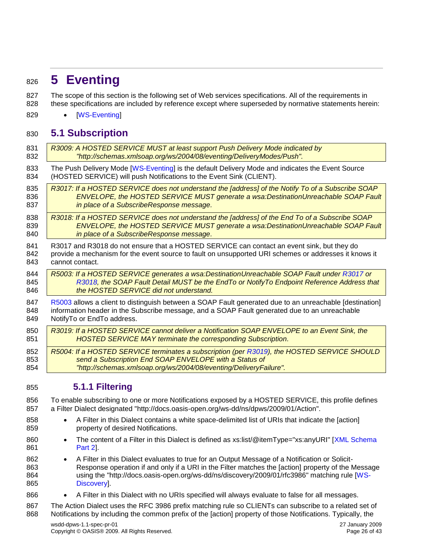# <span id="page-25-0"></span>**5 Eventing**

827 The scope of this section is the following set of Web services specifications. All of the requirements in these specifications are included by reference except where superseded by normative statements herein:

829 • [\[WS-Eventing\]](#page-8-4)

### <span id="page-25-1"></span>**5.1 Subscription**

<span id="page-25-4"></span><span id="page-25-3"></span>

| 831 | R3009: A HOSTED SERVICE MUST at least support Push Delivery Mode indicated by                           |
|-----|---------------------------------------------------------------------------------------------------------|
| 832 | "http://schemas.xmlsoap.org/ws/2004/08/eventing/DeliveryModes/Push".                                    |
| 833 | The Push Delivery Mode [WS-Eventing] is the default Delivery Mode and indicates the Event Source        |
| 834 | (HOSTED SERVICE) will push Notifications to the Event Sink (CLIENT).                                    |
| 835 | R3017: If a HOSTED SERVICE does not understand the [address] of the Notify To of a Subscribe SOAP       |
| 836 | ENVELOPE, the HOSTED SERVICE MUST generate a wsa: DestinationUnreachable SOAP Fault                     |
| 837 | in place of a SubscribeResponse message.                                                                |
| 838 | R3018: If a HOSTED SERVICE does not understand the [address] of the End To of a Subscribe SOAP          |
| 839 | ENVELOPE, the HOSTED SERVICE MUST generate a wsa: DestinationUnreachable SOAP Fault                     |
| 840 | in place of a SubscribeResponse message.                                                                |
| 841 | R3017 and R3018 do not ensure that a HOSTED SERVICE can contact an event sink, but they do              |
| 842 | provide a mechanism for the event source to fault on unsupported URI schemes or addresses it knows it   |
| 843 | cannot contact.                                                                                         |
| 844 | R5003: If a HOSTED SERVICE generates a wsa: DestinationUnreachable SOAP Fault under R3017 or            |
| 845 | R3018, the SOAP Fault Detail MUST be the EndTo or NotifyTo Endpoint Reference Address that              |
| 846 | the HOSTED SERVICE did not understand.                                                                  |
| 847 | R5003 allows a client to distinguish between a SOAP Fault generated due to an unreachable [destination] |
| 848 | information header in the Subscribe message, and a SOAP Fault generated due to an unreachable           |
| 849 | NotifyTo or EndTo address.                                                                              |
| 850 | R3019: If a HOSTED SERVICE cannot deliver a Notification SOAP ENVELOPE to an Event Sink, the            |
| 851 | <b>HOSTED SERVICE MAY terminate the corresponding Subscription.</b>                                     |
| 852 | R5004: If a HOSTED SERVICE terminates a subscription (per R3019), the HOSTED SERVICE SHOULD             |
| 853 | send a Subscription End SOAP ENVELOPE with a Status of                                                  |
| 854 | "http://schemas.xmlsoap.org/ws/2004/08/eventing/DeliveryFailure".                                       |
|     |                                                                                                         |

#### <span id="page-25-6"></span><span id="page-25-5"></span><span id="page-25-2"></span>**5.1.1 Filtering**

 To enable subscribing to one or more Notifications exposed by a HOSTED SERVICE, this profile defines a Filter Dialect designated "http://docs.oasis-open.org/ws-dd/ns/dpws/2009/01/Action".

- 858 A Filter in this Dialect contains a white space-delimited list of URIs that indicate the [action] property of desired Notifications.
- 860 The content of a Filter in this Dialect is defined as xs:list/@itemType="xs:anyURI" [XML Schema **Part 21.**
- 862 A Filter in this Dialect evaluates to true for an Output Message of a Notification or Solicit- Response operation if and only if a URI in the Filter matches the [action] property of the Message using the "http://docs.oasis-open.org/ws-dd/ns/discovery/2009/01/rfc3986" matching rule [\[WS-](#page-8-2)[Discovery\]](#page-8-2).
- 866 A Filter in this Dialect with no URIs specified will always evaluate to false for all messages.
- 867 The Action Dialect uses the RFC 3986 prefix matching rule so CLIENTs can subscribe to a related set of Notifications by including the common prefix of the [action] property of those Notifications. Typically, the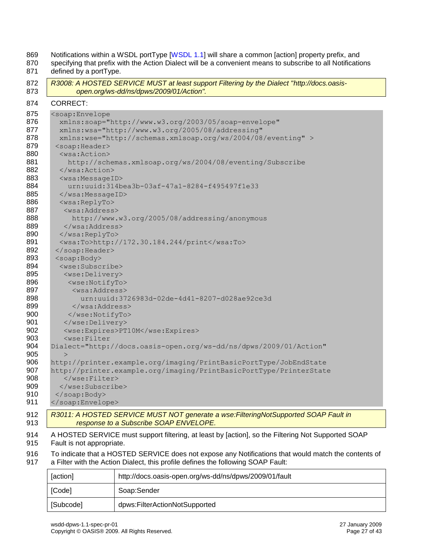|                                                              | R3008: A HOSTED SERVICE MUST at least support Filtering by the Dialect "http://docs.oasis-<br>open.org/ws-dd/ns/dpws/2009/01/Action". |  |
|--------------------------------------------------------------|---------------------------------------------------------------------------------------------------------------------------------------|--|
|                                                              | <b>CORRECT:</b>                                                                                                                       |  |
|                                                              | <soap:envelope< td=""></soap:envelope<>                                                                                               |  |
|                                                              | xmlns:soap="http://www.w3.org/2003/05/soap-envelope"                                                                                  |  |
|                                                              | xmlns:wsa="http://www.w3.org/2005/08/addressing"                                                                                      |  |
| xmlns:wse="http://schemas.xmlsoap.org/ws/2004/08/eventing" > |                                                                                                                                       |  |
|                                                              | <soap:header></soap:header>                                                                                                           |  |
| $<$ wsa: Action>                                             |                                                                                                                                       |  |
| http://schemas.xmlsoap.org/ws/2004/08/eventing/Subscribe     |                                                                                                                                       |  |
| $\langle$ /wsa:Action>                                       |                                                                                                                                       |  |
|                                                              | <wsa:messageid></wsa:messageid>                                                                                                       |  |
|                                                              | urn:uuid:314bea3b-03af-47a1-8284-f495497f1e33                                                                                         |  |
|                                                              | $\langle$ /wsa:MessageID>                                                                                                             |  |
|                                                              | <wsa:replyto></wsa:replyto>                                                                                                           |  |
|                                                              | <wsa:address></wsa:address>                                                                                                           |  |
|                                                              | http://www.w3.org/2005/08/addressing/anonymous                                                                                        |  |
|                                                              |                                                                                                                                       |  |
|                                                              | $\langle$ /wsa:ReplyTo>                                                                                                               |  |
|                                                              | <wsa:to>http://172.30.184.244/print</wsa:to>                                                                                          |  |
|                                                              |                                                                                                                                       |  |
|                                                              | <soap:body></soap:body>                                                                                                               |  |
|                                                              | <wse:subscribe></wse:subscribe>                                                                                                       |  |
|                                                              | <wse:delivery></wse:delivery>                                                                                                         |  |
|                                                              | <wse:notifyto></wse:notifyto>                                                                                                         |  |
|                                                              | <wsa:address></wsa:address>                                                                                                           |  |
|                                                              | urn:uuid:3726983d-02de-4d41-8207-d028ae92ce3d                                                                                         |  |
|                                                              |                                                                                                                                       |  |
|                                                              |                                                                                                                                       |  |
|                                                              |                                                                                                                                       |  |
|                                                              | <wse:expires>PT10M</wse:expires>                                                                                                      |  |
|                                                              | <wse:filter< td=""></wse:filter<>                                                                                                     |  |
|                                                              | Dialect="http://docs.oasis-open.org/ws-dd/ns/dpws/2009/01/Action"                                                                     |  |
|                                                              | $\rm{>}$                                                                                                                              |  |
|                                                              | http://printer.example.org/imaging/PrintBasicPortType/JobEndState                                                                     |  |
|                                                              | http://printer.example.org/imaging/PrintBasicPortType/PrinterState                                                                    |  |
|                                                              |                                                                                                                                       |  |
|                                                              |                                                                                                                                       |  |
|                                                              |                                                                                                                                       |  |
|                                                              |                                                                                                                                       |  |
|                                                              | R3011: A HOSTED SERVICE MUST NOT generate a wse: FilteringNotSupported SOAP Fault in                                                  |  |

 To indicate that a HOSTED SERVICE does not expose any Notifications that would match the contents of a Filter with the Action Dialect, this profile defines the following SOAP Fault:

| [action]  | http://docs.oasis-open.org/ws-dd/ns/dpws/2009/01/fault |
|-----------|--------------------------------------------------------|
| [Code]    | Soap:Sender                                            |
| [Subcode] | dpws:FilterActionNotSupported                          |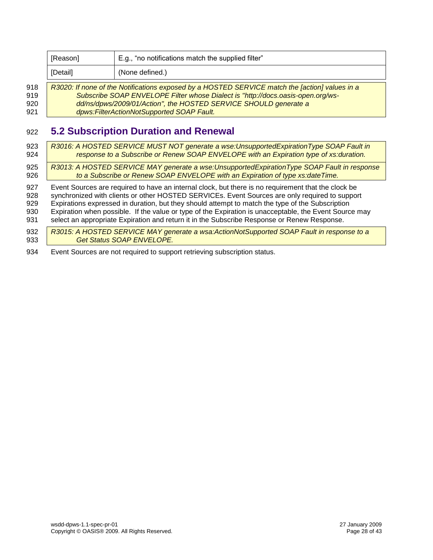|     | [Reason]                                                         | E.g., "no notifications match the supplied filter"                                             |
|-----|------------------------------------------------------------------|------------------------------------------------------------------------------------------------|
|     | [Detail]                                                         | (None defined.)                                                                                |
| 918 |                                                                  | R3020: If none of the Notifications exposed by a HOSTED SERVICE match the [action] values in a |
| 919 |                                                                  | Subscribe SOAP ENVELOPE Filter whose Dialect is "http://docs.oasis-open.org/ws-                |
| 920 | dd/ns/dpws/2009/01/Action", the HOSTED SERVICE SHOULD generate a |                                                                                                |
| 921 | dpws:FilterActionNotSupported SOAP Fault.                        |                                                                                                |

### <span id="page-27-0"></span>**5.2 Subscription Duration and Renewal**

| 923  | R3016: A HOSTED SERVICE MUST NOT generate a wse: Unsupported Expiration Type SOAP Fault in             |
|------|--------------------------------------------------------------------------------------------------------|
| 924  | response to a Subscribe or Renew SOAP ENVELOPE with an Expiration type of xs:duration.                 |
| 925  | R3013: A HOSTED SERVICE MAY generate a wse: Unsupported Expiration Type SOAP Fault in response         |
| 926  | to a Subscribe or Renew SOAP ENVELOPE with an Expiration of type xs:dateTime.                          |
| 927  | Event Sources are required to have an internal clock, but there is no requirement that the clock be    |
| 928  | synchronized with clients or other HOSTED SERVICEs. Event Sources are only required to support         |
| 929  | Expirations expressed in duration, but they should attempt to match the type of the Subscription       |
| 930  | Expiration when possible. If the value or type of the Expiration is unacceptable, the Event Source may |
| 931  | select an appropriate Expiration and return it in the Subscribe Response or Renew Response.            |
| 932  | R3015: A HOSTED SERVICE MAY generate a wsa:ActionNotSupported SOAP Fault in response to a              |
| 933  | <b>Get Status SOAP ENVELOPE.</b>                                                                       |
| 0.21 | $\Gamma$ usat $\Omega$ ausaa asa natusaulisal ta ausaastisalaa laanaaladan atatus.                     |

Event Sources are not required to support retrieving subscription status.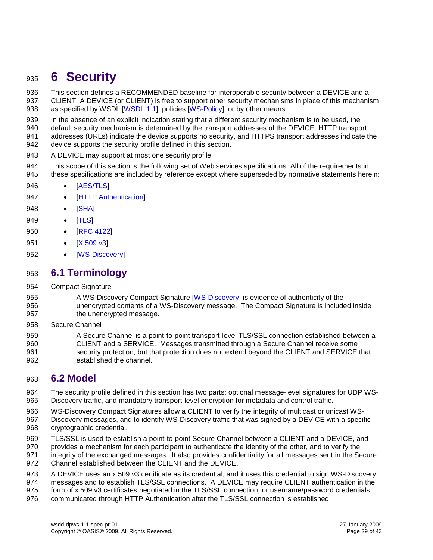### <span id="page-28-0"></span>**6 Security**

This section defines a RECOMMENDED baseline for interoperable security between a DEVICE and a

- CLIENT. A DEVICE (or CLIENT) is free to support other security mechanisms in place of this mechanism 938 as specified by WSDL [\[WSDL 1.1\]](#page-8-3), policies [\[WS-Policy\]](#page-8-5), or by other means.
- In the absence of an explicit indication stating that a different security mechanism is to be used, the
- default security mechanism is determined by the transport addresses of the DEVICE: HTTP transport
- addresses (URLs) indicate the device supports no security, and HTTPS transport addresses indicate the device supports the security profile defined in this section.
- A DEVICE may support at most one security profile.
- This scope of this section is the following set of Web services specifications. All of the requirements in these specifications are included by reference except where superseded by normative statements herein:
- **•** [\[AES/TLS\]](#page-7-7)
- 947 [\[HTTP Authentication\]](#page-7-8)
- 948 [\[SHA\]](#page-8-15)
- 949 [\[TLS\]](#page-8-16)
- 950 [\[RFC 4122\]](#page-8-10)
- 951 [\[X.509.v3\]](#page-8-17)
- 952 [\[WS-Discovery\]](#page-8-2)

#### <span id="page-28-1"></span>**6.1 Terminology**

- Compact Signature
- A WS-Discovery Compact Signature [\[WS-Discovery\]](#page-8-2) is evidence of authenticity of the unencrypted contents of a WS-Discovery message. The Compact Signature is included inside the unencrypted message.
- Secure Channel
- A Secure Channel is a point-to-point transport-level TLS/SSL connection established between a CLIENT and a SERVICE. Messages transmitted through a Secure Channel receive some security protection, but that protection does not extend beyond the CLIENT and SERVICE that established the channel.

#### <span id="page-28-2"></span>**6.2 Model**

- The security profile defined in this section has two parts: optional message-level signatures for UDP WS-Discovery traffic, and mandatory transport-level encryption for metadata and control traffic.
- WS-Discovery Compact Signatures allow a CLIENT to verify the integrity of multicast or unicast WS- Discovery messages, and to identify WS-Discovery traffic that was signed by a DEVICE with a specific cryptographic credential.
- TLS/SSL is used to establish a point-to-point Secure Channel between a CLIENT and a DEVICE, and
- provides a mechanism for each participant to authenticate the identity of the other, and to verify the
- integrity of the exchanged messages. It also provides confidentiality for all messages sent in the Secure Channel established between the CLIENT and the DEVICE.
- A DEVICE uses an x.509.v3 certificate as its credential, and it uses this credential to sign WS-Discovery
- 974 messages and to establish TLS/SSL connections. A DEVICE may require CLIENT authentication in the
- form of x.509.v3 certificates negotiated in the TLS/SSL connection, or username/password credentials
- communicated through HTTP Authentication after the TLS/SSL connection is established.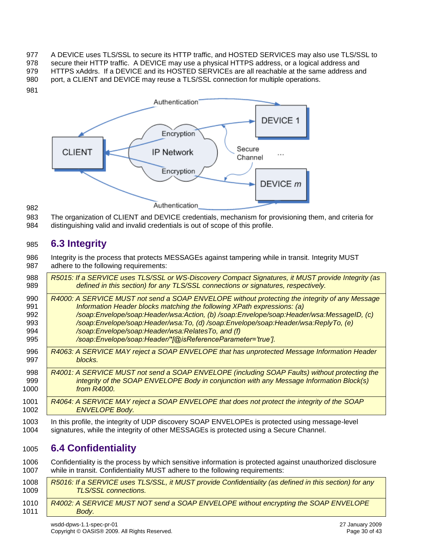977 A DEVICE uses TLS/SSL to secure its HTTP traffic, and HOSTED SERVICES may also use TLS/SSL to secure their HTTP traffic. A DEVICE may use a physical HTTPS address, or a logical address and HTTPS xAddrs. If a DEVICE and its HOSTED SERVICEs are all reachable at the same address and 980 port, a CLIENT and DEVICE may reuse a TLS/SSL connection for multiple operations.



 The organization of CLIENT and DEVICE credentials, mechanism for provisioning them, and criteria for distinguishing valid and invalid credentials is out of scope of this profile.

### <span id="page-29-0"></span>**6.3 Integrity**

 Integrity is the process that protects MESSAGEs against tampering while in transit. Integrity MUST adhere to the following requirements:

| 988  | R5015: If a SERVICE uses TLS/SSL or WS-Discovery Compact Signatures, it MUST provide Integrity (as |
|------|----------------------------------------------------------------------------------------------------|
| 989  | defined in this section) for any TLS/SSL connections or signatures, respectively.                  |
| 990  | R4000: A SERVICE MUST not send a SOAP ENVELOPE without protecting the integrity of any Message     |
| 991  | Information Header blocks matching the following XPath expressions: (a)                            |
| 992  | /soap:Envelope/soap:Header/wsa:Action, (b) /soap:Envelope/soap:Header/wsa:MessageID, (c)           |
| 993  | /soap:Envelope/soap:Header/wsa:To, (d) /soap:Envelope/soap:Header/wsa:ReplyTo, (e)                 |
| 994  | /soap:Envelope/soap:Header/wsa:RelatesTo, and (f)                                                  |
| 995  | /soap:Envelope/soap:Header/*[@isReferenceParameter='true'].                                        |
| 996  | R4063: A SERVICE MAY reject a SOAP ENVELOPE that has unprotected Message Information Header        |
| 997  | blocks.                                                                                            |
| 998  | R4001: A SERVICE MUST not send a SOAP ENVELOPE (including SOAP Faults) without protecting the      |
| 999  | integrity of the SOAP ENVELOPE Body in conjunction with any Message Information Block(s)           |
| 1000 | from R4000.                                                                                        |
| 1001 | R4064: A SERVICE MAY reject a SOAP ENVELOPE that does not protect the integrity of the SOAP        |
| 1002 | <b>ENVELOPE Body.</b>                                                                              |
| 1003 | In this profile, the integrity of UDP discovery SOAP ENVELOPEs is protected using message-level    |
| 1004 | signatures, while the integrity of other MESSAGEs is protected using a Secure Channel.             |
|      |                                                                                                    |

### <span id="page-29-1"></span>**6.4 Confidentiality**

 Confidentiality is the process by which sensitive information is protected against unauthorized disclosure while in transit. Confidentiality MUST adhere to the following requirements:

| 1008<br>1009 | R5016: If a SERVICE uses TLS/SSL, it MUST provide Confidentiality (as defined in this section) for any<br><b>TLS/SSL connections.</b> |
|--------------|---------------------------------------------------------------------------------------------------------------------------------------|
| 1010         | R4002: A SERVICE MUST NOT send a SOAP ENVELOPE without encrypting the SOAP ENVELOPE                                                   |
| 1011         | Body.                                                                                                                                 |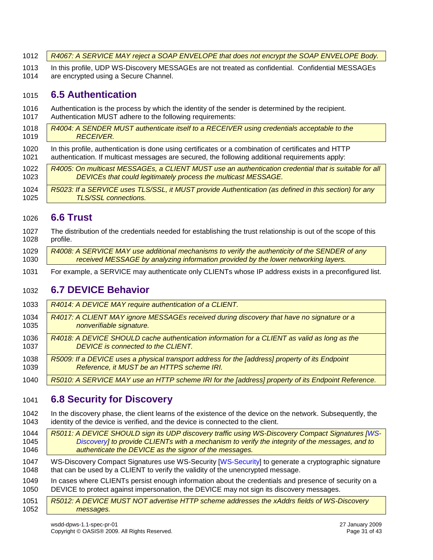| 1012 A8067: A SERVICE MAY reject a SOAP ENVELOPE that does not encrypt the SOAP ENVELOPE Body. |  |
|------------------------------------------------------------------------------------------------|--|
|------------------------------------------------------------------------------------------------|--|

 In this profile, UDP WS-Discovery MESSAGEs are not treated as confidential. Confidential MESSAGEs are encrypted using a Secure Channel.

### <span id="page-30-0"></span>**6.5 Authentication**

- Authentication is the process by which the identity of the sender is determined by the recipient. Authentication MUST adhere to the following requirements:
- *R4004: A SENDER MUST authenticate itself to a RECEIVER using credentials acceptable to the RECEIVER.*
- In this profile, authentication is done using certificates or a combination of certificates and HTTP authentication. If multicast messages are secured, the following additional requirements apply:
- *R4005: On multicast MESSAGEs, a CLIENT MUST use an authentication credential that is suitable for all DEVICEs that could legitimately process the multicast MESSAGE.*
- *R5023: If a SERVICE uses TLS/SSL, it MUST provide Authentication (as defined in this section) for any TLS/SSL connections.*

### <span id="page-30-1"></span>**6.6 Trust**

- The distribution of the credentials needed for establishing the trust relationship is out of the scope of this profile.
- *R4008: A SERVICE MAY use additional mechanisms to verify the authenticity of the SENDER of any received MESSAGE by analyzing information provided by the lower networking layers.*
- For example, a SERVICE may authenticate only CLIENTs whose IP address exists in a preconfigured list.

#### <span id="page-30-2"></span>**6.7 DEVICE Behavior**

- *R4014: A DEVICE MAY require authentication of a CLIENT. R4017: A CLIENT MAY ignore MESSAGEs received during discovery that have no signature or a nonverifiable signature. R4018: A DEVICE SHOULD cache authentication information for a CLIENT as valid as long as the*  **DEVICE** is connected to the CLIENT. *R5009: If a DEVICE uses a physical transport address for the [address] property of its Endpoint Reference, it MUST be an HTTPS scheme IRI.*
- *R5010: A SERVICE MAY use an HTTP scheme IRI for the [address] property of its Endpoint Reference.*

### <span id="page-30-3"></span>**6.8 Security for Discovery**

 In the discovery phase, the client learns of the existence of the device on the network. Subsequently, the identity of the device is verified, and the device is connected to the client.

*R5011: A DEVICE SHOULD sign its UDP discovery traffic using WS-Discovery Compact Signatures [\[WS-](#page-8-2) [Discovery\]](#page-8-2) to provide CLIENTs with a mechanism to verify the integrity of the messages, and to authenticate the DEVICE as the signor of the messages.*

 WS-Discovery Compact Signatures use WS-Security [\[WS-Security\]](#page-9-4) to generate a cryptographic signature that can be used by a CLIENT to verify the validity of the unencrypted message.

- In cases where CLIENTs persist enough information about the credentials and presence of security on a DEVICE to protect against impersonation, the DEVICE may not sign its discovery messages.
- *R5012: A DEVICE MUST NOT advertise HTTP scheme addresses the xAddrs fields of WS-Discovery messages.*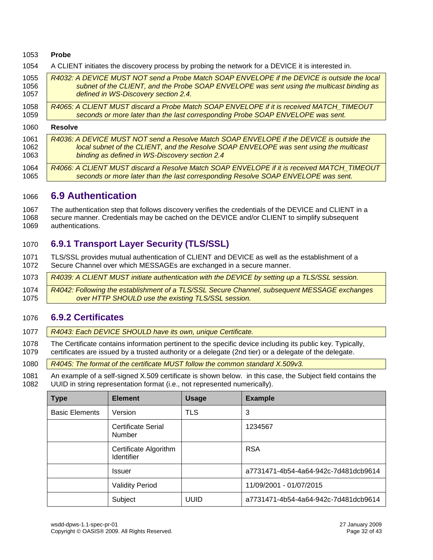#### **Probe**

A CLIENT initiates the discovery process by probing the network for a DEVICE it is interested in.

| 1055 | R4032: A DEVICE MUST NOT send a Probe Match SOAP ENVELOPE if the DEVICE is outside the local |
|------|----------------------------------------------------------------------------------------------|
| 1056 | subnet of the CLIENT, and the Probe SOAP ENVELOPE was sent using the multicast binding as    |
| 1057 | defined in WS-Discovery section 2.4.                                                         |
| 1058 | R4065: A CLIENT MUST discard a Probe Match SOAP ENVELOPE if it is received MATCH TIMEOUT     |
| 1059 | seconds or more later than the last corresponding Probe SOAP ENVELOPE was sent.              |
| 1060 | <b>Resolve</b>                                                                               |
| 1061 | R4036: A DEVICE MUST NOT send a Resolve Match SOAP ENVELOPE if the DEVICE is outside the     |
| 1062 | local subnet of the CLIENT, and the Resolve SOAP ENVELOPE was sent using the multicast       |
| 1063 | binding as defined in WS-Discovery section 2.4                                               |
| 1064 | R4066: A CLIENT MUST discard a Resolve Match SOAP ENVELOPE if it is received MATCH TIMEOUT   |
| 1065 | seconds or more later than the last corresponding Resolve SOAP ENVELOPE was sent.            |

#### <span id="page-31-0"></span>**6.9 Authentication**

1067 The authentication step that follows discovery verifies the credentials of the DEVICE and CLIENT in a<br>1068 secure manner. Credentials may be cached on the DEVICE and/or CLIENT to simplify subsequent secure manner. Credentials may be cached on the DEVICE and/or CLIENT to simplify subsequent authentications.

#### <span id="page-31-1"></span>**6.9.1 Transport Layer Security (TLS/SSL)**

 TLS/SSL provides mutual authentication of CLIENT and DEVICE as well as the establishment of a Secure Channel over which MESSAGEs are exchanged in a secure manner.

*R4039: A CLIENT MUST initiate authentication with the DEVICE by setting up a TLS/SSL session.*

 *R4042: Following the establishment of a TLS/SSL Secure Channel, subsequent MESSAGE exchanges over HTTP SHOULD use the existing TLS/SSL session.*

#### <span id="page-31-2"></span>**6.9.2 Certificates**

- *R4043: Each DEVICE SHOULD have its own, unique Certificate.*
- The Certificate contains information pertinent to the specific device including its public key. Typically, certificates are issued by a trusted authority or a delegate (2nd tier) or a delegate of the delegate.

*R4045: The format of the certificate MUST follow the common standard X.509v3.*

 An example of a self-signed X.509 certificate is shown below. in this case, the Subject field contains the UUID in string representation format (i.e., not represented numerically).

| <b>Type</b>           | <b>Element</b>                             | <b>Usage</b> | <b>Example</b>                       |
|-----------------------|--------------------------------------------|--------------|--------------------------------------|
| <b>Basic Elements</b> | Version                                    | <b>TLS</b>   | 3                                    |
|                       | Certificate Serial<br><b>Number</b>        |              | 1234567                              |
|                       | Certificate Algorithm<br><b>Identifier</b> |              | <b>RSA</b>                           |
|                       | <b>Issuer</b>                              |              | a7731471-4b54-4a64-942c-7d481dcb9614 |
|                       | <b>Validity Period</b>                     |              | 11/09/2001 - 01/07/2015              |
|                       | Subject                                    | <b>UUID</b>  | a7731471-4b54-4a64-942c-7d481dcb9614 |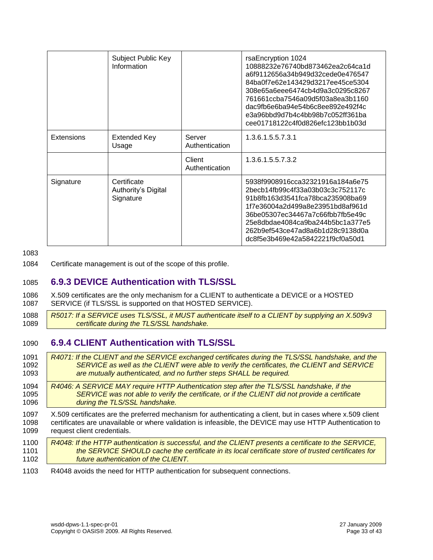|                   | Subject Public Key<br>Information               |                          | rsaEncryption 1024<br>10888232e76740bd873462ea2c64ca1d<br>a6f9112656a34b949d32cede0e476547<br>84ba0f7e62e143429d3217ee45ce5304<br>308e65a6eee6474cb4d9a3c0295c8267<br>761661ccba7546a09d5f03a8ea3b1160<br>dac9fb6e6ba94e54b6c8ee892e492f4c<br>e3a96bbd9d7b4c4bb98b7c052ff361ba<br>cee01718122c4f0d826efc123bb1b03d |
|-------------------|-------------------------------------------------|--------------------------|--------------------------------------------------------------------------------------------------------------------------------------------------------------------------------------------------------------------------------------------------------------------------------------------------------------------|
| <b>Extensions</b> | Extended Key<br>Usage                           | Server<br>Authentication | 1.3.6.1.5.5.7.3.1                                                                                                                                                                                                                                                                                                  |
|                   |                                                 | Client<br>Authentication | 1.3.6.1.5.5.7.3.2                                                                                                                                                                                                                                                                                                  |
| Signature         | Certificate<br>Authority's Digital<br>Signature |                          | 5938f9908916cca32321916a184a6e75<br>2becb14fb99c4f33a03b03c3c752117c<br>91b8fb163d3541fca78bca235908ba69<br>1f7e36004a2d499a8e23951bd8af961d<br>36be05307ec34467a7c66fbb7fb5e49c<br>25e8dbdae4084ca9ba244b5bc1a377e5<br>262b9ef543ce47ad8a6b1d28c9138d0a<br>dc8f5e3b469e42a5842221f9cf0a50d1                       |

1083

1084 Certificate management is out of the scope of this profile.

#### <span id="page-32-0"></span>1085 **6.9.3 DEVICE Authentication with TLS/SSL**

- 1086 X.509 certificates are the only mechanism for a CLIENT to authenticate a DEVICE or a HOSTED<br>1087 SERVICE (if TLS/SSL is supported on that HOSTED SERVICE). SERVICE (if TLS/SSL is supported on that HOSTED SERVICE).
- 1088 *R5017: If a SERVICE uses TLS/SSL, it MUST authenticate itself to a CLIENT by supplying an X.509v3*  1089 *certificate during the TLS/SSL handshake.*

#### <span id="page-32-1"></span>1090 **6.9.4 CLIENT Authentication with TLS/SSL**

 *R4071: If the CLIENT and the SERVICE exchanged certificates during the TLS/SSL handshake, and the SERVICE as well as the CLIENT were able to verify the certificates, the CLIENT and SERVICE are mutually authenticated, and no further steps SHALL be required. R4046: A SERVICE MAY require HTTP Authentication step after the TLS/SSL handshake, if the SERVICE was not able to verify the certificate, or if the CLIENT did not provide a certificate during the TLS/SSL handshake.* X.509 certificates are the preferred mechanism for authenticating a client, but in cases where x.509 client certificates are unavailable or where validation is infeasible, the DEVICE may use HTTP Authentication to request client credentials. *R4048: If the HTTP authentication is successful, and the CLIENT presents a certificate to the SERVICE, the SERVICE SHOULD cache the certificate in its local certificate store of trusted certificates for future authentication of the CLIENT.* R4048 avoids the need for HTTP authentication for subsequent connections.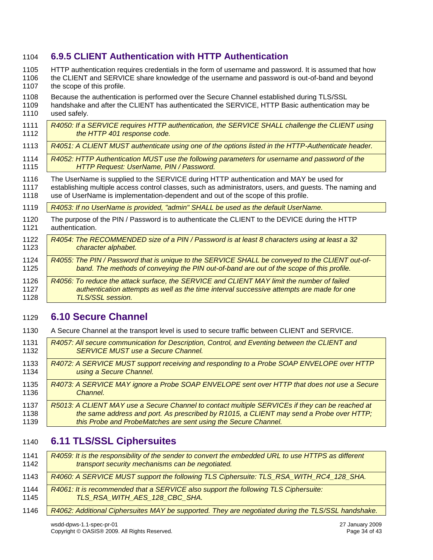#### <span id="page-33-0"></span>**6.9.5 CLIENT Authentication with HTTP Authentication**

HTTP authentication requires credentials in the form of username and password. It is assumed that how

 the CLIENT and SERVICE share knowledge of the username and password is out-of-band and beyond 1107 the scope of this profile.

- 
- Because the authentication is performed over the Secure Channel established during TLS/SSL 1109 handshake and after the CLIENT has authenticated the SERVICE, HTTP Basic authentication may be 1110 used safely used safely.
- *R4050: If a SERVICE requires HTTP authentication, the SERVICE SHALL challenge the CLIENT using the HTTP 401 response code.*
- *R4051: A CLIENT MUST authenticate using one of the options listed in the HTTP-Authenticate header.*
- *R4052: HTTP Authentication MUST use the following parameters for username and password of the HTTP Request: UserName, PIN / Password.*
- The UserName is supplied to the SERVICE during HTTP authentication and MAY be used for
- establishing multiple access control classes, such as administrators, users, and guests. The naming and use of UserName is implementation-dependent and out of the scope of this profile.
- *R4053: If no UserName is provided, "admin" SHALL be used as the default UserName.*
- The purpose of the PIN / Password is to authenticate the CLIENT to the DEVICE during the HTTP authentication.
- *R4054: The RECOMMENDED size of a PIN / Password is at least 8 characters using at least a 32 character alphabet.*
- *R4055: The PIN / Password that is unique to the SERVICE SHALL be conveyed to the CLIENT out-of*band. The methods of conveying the PIN out-of-band are out of the scope of this profile. *R4056: To reduce the attack surface, the SERVICE and CLIENT MAY limit the number of failed*
- *authentication attempts as well as the time interval successive attempts are made for one TLS/SSL session.*

### <span id="page-33-1"></span>**6.10 Secure Channel**

- A Secure Channel at the transport level is used to secure traffic between CLIENT and SERVICE.
- *R4057: All secure communication for Description, Control, and Eventing between the CLIENT and*  **SERVICE MUST use a Secure Channel.**  *R4072: A SERVICE MUST support receiving and responding to a Probe SOAP ENVELOPE over HTTP using a Secure Channel. R4073: A SERVICE MAY ignore a Probe SOAP ENVELOPE sent over HTTP that does not use a Secure*  **Channel.**  *R5013: A CLIENT MAY use a Secure Channel to contact multiple SERVICEs if they can be reached at the same address and port. As prescribed by R1015, a CLIENT may send a Probe over HTTP;*
- *this Probe and ProbeMatches are sent using the Secure Channel.*

### <span id="page-33-2"></span>**6.11 TLS/SSL Ciphersuites**

| 1141<br>1142 | R4059: It is the responsibility of the sender to convert the embedded URL to use HTTPS as different<br>transport security mechanisms can be negotiated. |
|--------------|---------------------------------------------------------------------------------------------------------------------------------------------------------|
| 1143         | R4060: A SERVICE MUST support the following TLS Ciphersuite: TLS_RSA_WITH_RC4_128_SHA.                                                                  |
| 1144<br>1145 | R4061: It is recommended that a SERVICE also support the following TLS Ciphersuite:<br>TLS RSA WITH AES 128 CBC SHA.                                    |
| 1146         | R4062: Additional Ciphersuites MAY be supported. They are negotiated during the TLS/SSL handshake.                                                      |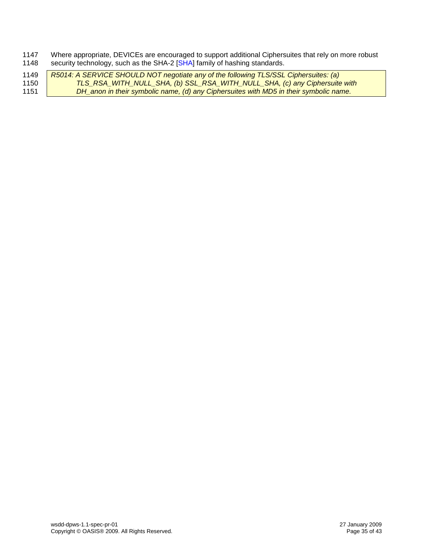1147 Where appropriate, DEVICEs are encouraged to support additional Ciphersuites that rely on more robust 1148 security technology, such as the SHA-2 [\[SHA\]](#page-8-15) family of hashing standards.

| 1149 | R5014: A SERVICE SHOULD NOT negotiate any of the following TLS/SSL Ciphersuites: (a)  |
|------|---------------------------------------------------------------------------------------|
| 1150 | TLS_RSA_WITH_NULL_SHA, (b) SSL_RSA_WITH_NULL_SHA, (c) any Ciphersuite with            |
| 1151 | DH_anon in their symbolic name, (d) any Ciphersuites with MD5 in their symbolic name. |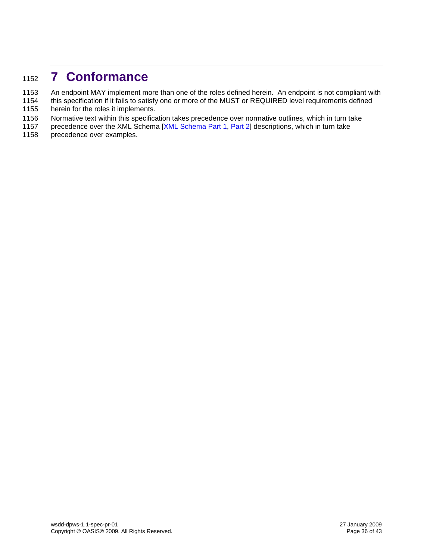# <span id="page-35-0"></span><sup>1152</sup> **7 Conformance**

- 1153 An endpoint MAY implement more than one of the roles defined herein. An endpoint is not compliant with
- 1154 this specification if it fails to satisfy one or more of the MUST or REQUIRED level requirements defined<br>1155 herein for the roles it implements. herein for the roles it implements.
- 1156 Normative text within this specification takes precedence over normative outlines, which in turn take<br>1157 precedence over the XML Schema [XML Schema Part 1, Part 2] descriptions, which in turn take
- precedence over the XML Schema [\[XML Schema Part 1,](#page-8-12) [Part 2\]](#page-8-13) descriptions, which in turn take
- 1158 precedence over examples.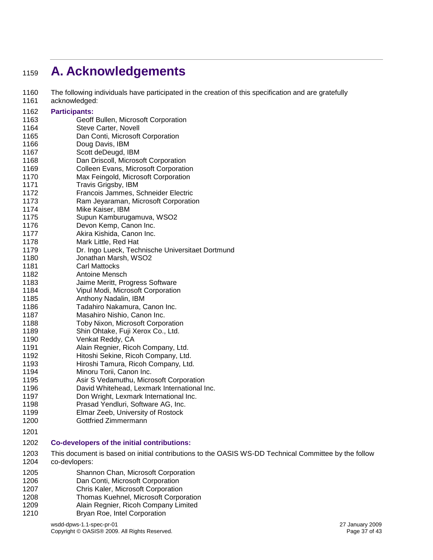# <span id="page-36-0"></span>**A. Acknowledgements**

- 1160 The following individuals have participated in the creation of this specification and are gratefully<br>1161 acknowledged:
- .<br>116dac

| 1101        | acknowledged:                                               |
|-------------|-------------------------------------------------------------|
| 1162        | <b>Participants:</b>                                        |
| 1163        | Geoff Bullen, Microsoft Corporation                         |
| 1164        | Steve Carter, Novell                                        |
| 1165        | Dan Conti, Microsoft Corporation                            |
| 1166        | Doug Davis, IBM                                             |
| 1167        | Scott deDeugd, IBM                                          |
| 1168        | Dan Driscoll, Microsoft Corporation                         |
| 1169        | Colleen Evans, Microsoft Corporation                        |
| 1170        | Max Feingold, Microsoft Corporation                         |
| 1171        | Travis Grigsby, IBM                                         |
| 1172        | Francois Jammes, Schneider Electric                         |
| 1173        | Ram Jeyaraman, Microsoft Corporation                        |
| 1174        | Mike Kaiser, IBM                                            |
| 1175        | Supun Kamburugamuva, WSO2                                   |
| 1176        | Devon Kemp, Canon Inc.                                      |
| 1177        | Akira Kishida, Canon Inc.                                   |
| 1178        | Mark Little, Red Hat                                        |
| 1179        | Dr. Ingo Lueck, Technische Universitaet Dortmund            |
| 1180        | Jonathan Marsh, WSO2                                        |
| 1181        | <b>Carl Mattocks</b>                                        |
| 1182        | Antoine Mensch                                              |
| 1183        | Jaime Meritt, Progress Software                             |
| 1184        | Vipul Modi, Microsoft Corporation                           |
| 1185        | Anthony Nadalin, IBM                                        |
| 1186        | Tadahiro Nakamura, Canon Inc.                               |
| 1187        | Masahiro Nishio, Canon Inc.                                 |
| 1188        | Toby Nixon, Microsoft Corporation                           |
| 1189        | Shin Ohtake, Fuji Xerox Co., Ltd.                           |
| 1190        | Venkat Reddy, CA                                            |
| 1191        | Alain Regnier, Ricoh Company, Ltd.                          |
| 1192        | Hitoshi Sekine, Ricoh Company, Ltd.                         |
| 1193        | Hiroshi Tamura, Ricoh Company, Ltd.                         |
| 1194        | Minoru Torii, Canon Inc.                                    |
| 1195        | Asir S Vedamuthu, Microsoft Corporation                     |
| 1196        | David Whitehead, Lexmark International Inc.                 |
| 1197        | Don Wright, Lexmark International Inc.                      |
| 1198        | Prasad Yendluri, Software AG, Inc.                          |
| 1199        | Elmar Zeeb, University of Rostock                           |
| 1200        | Gottfried Zimmermann                                        |
| 1201        |                                                             |
| 1202        | <b>Co-developers of the initial contributions:</b>          |
| 1203        | This document is based on initial contributions to the OASI |
| 1204        | co-devlopers:                                               |
| <b>1005</b> | Channon Chan Microsoft Cornoration                          |

- IS WS-DD Technical Committee by the follow
- Shannon Chan, Microsoft Corporation
- Dan Conti, Microsoft Corporation
- Chris Kaler, Microsoft Corporation
- Thomas Kuehnel, Microsoft Corporation Alain Regnier, Ricoh Company Limited
- Bryan Roe, Intel Corporation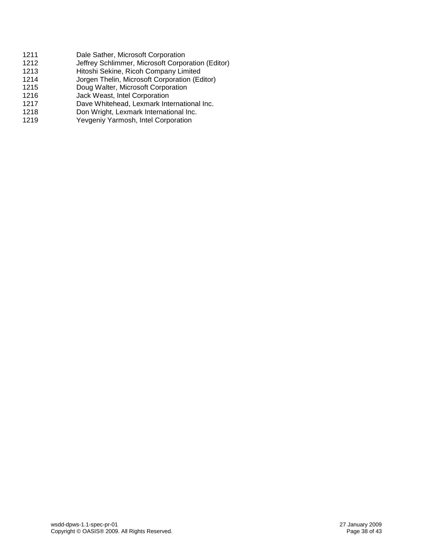1211 Dale Sather, Microsoft Corporation 1212 Jeffrey Schlimmer, Microsoft Corporation (Editor)<br>1213 Hitoshi Sekine, Ricoh Company Limited 1213 Hitoshi Sekine, Ricoh Company Limited<br>1214 Jorgen Thelin, Microsoft Corporation (Eq. Jorgen Thelin, Microsoft Corporation (Editor) 1215 Doug Walter, Microsoft Corporation 1216 Jack Weast, Intel Corporation<br>1217 Dave Whitehead, Lexmark Inte Dave Whitehead, Lexmark International Inc. 1218 Don Wright, Lexmark International Inc. 1219 Yevgeniy Yarmosh, Intel Corporation

> wsdd-dpws-1.1-spec-pr-01 27 January 2009 Copyright © OASIS® 2009. All Rights Reserved.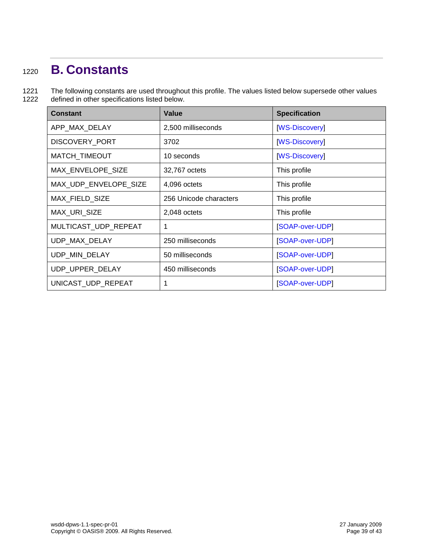# <span id="page-38-0"></span><sup>1220</sup> **B. Constants**

1221 The following constants are used throughout this profile. The values listed below supersede other values 1222 defined in other specifications listed below.

| <b>Constant</b>       | <b>Value</b>           | <b>Specification</b> |
|-----------------------|------------------------|----------------------|
| APP_MAX_DELAY         | 2,500 milliseconds     | <b>WS-Discovery</b>  |
| <b>DISCOVERY PORT</b> | 3702                   | [WS-Discovery]       |
| MATCH_TIMEOUT         | 10 seconds             | [WS-Discovery]       |
| MAX ENVELOPE SIZE     | 32,767 octets          | This profile         |
| MAX_UDP_ENVELOPE_SIZE | 4,096 octets           | This profile         |
| MAX_FIELD_SIZE        | 256 Unicode characters | This profile         |
| <b>MAX URI SIZE</b>   | 2,048 octets           | This profile         |
| MULTICAST_UDP_REPEAT  | 1                      | [SOAP-over-UDP]      |
| UDP_MAX_DELAY         | 250 milliseconds       | [SOAP-over-UDP]      |
| UDP_MIN_DELAY         | 50 milliseconds        | [SOAP-over-UDP]      |
| UDP_UPPER_DELAY       | 450 milliseconds       | [SOAP-over-UDP]      |
| UNICAST_UDP_REPEAT    | 1                      | [SOAP-over-UDP]      |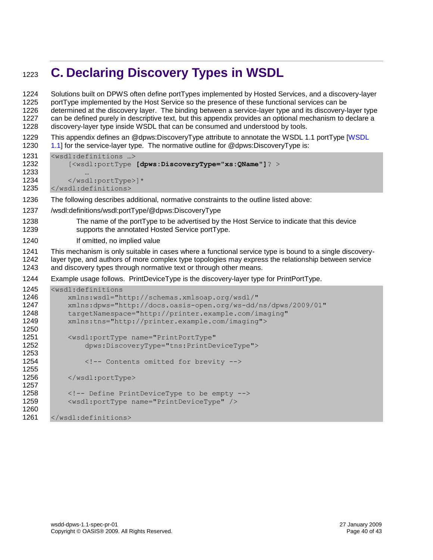# <span id="page-39-0"></span>**C. Declaring Discovery Types in WSDL**

 Solutions built on DPWS often define portTypes implemented by Hosted Services, and a discovery-layer portType implemented by the Host Service so the presence of these functional services can be determined at the discovery layer. The binding between a service-layer type and its discovery-layer type can be defined purely in descriptive text, but this appendix provides an optional mechanism to declare a discovery-layer type inside WSDL that can be consumed and understood by tools. This appendix defines an @dpws:DiscoveryType attribute to annotate the WSDL 1.1 portType [\[WSDL](#page-8-3)  [1.1\]](#page-8-3) for the service-layer type. The normative outline for @dpws:DiscovervType is: <wsdl:definitions …> [<wsdl:portType **[dpws:DiscoveryType="xs:QName"]**? > … 1234 </wsdl:portType>]\* </wsdl:definitions> The following describes additional, normative constraints to the outline listed above: /wsdl:definitions/wsdl:portType/@dpws:DiscoveryType The name of the portType to be advertised by the Host Service to indicate that this device supports the annotated Hosted Service portType. If omitted, no implied value This mechanism is only suitable in cases where a functional service type is bound to a single discovery- layer type, and authors of more complex type topologies may express the relationship between service and discovery types through normative text or through other means. Example usage follows. PrintDeviceType is the discovery-layer type for PrintPortType. <wsdl:definitions xmlns:wsdl="http://schemas.xmlsoap.org/wsdl/" xmlns:dpws="http://docs.oasis-open.org/ws-dd/ns/dpws/2009/01" targetNamespace="http://printer.example.com/imaging" xmlns:tns="http://printer.example.com/imaging"> <wsdl:portType name="PrintPortType" dpws:DiscoveryType="tns:PrintDeviceType"> 1254 <!-- Contents omitted for brevity --> 1256 </wsdl:portType> <!-- Define PrintDeviceType to be empty --> <wsdl:portType name="PrintDeviceType" /> </wsdl:definitions>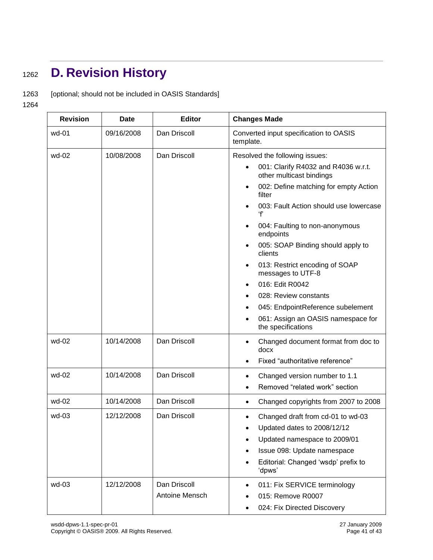# <span id="page-40-0"></span><sup>1262</sup> **D. Revision History**

1263 [optional; should not be included in OASIS Standards]

1264

| <b>Revision</b> | <b>Date</b> | <b>Editor</b>  | <b>Changes Made</b>                                                          |
|-----------------|-------------|----------------|------------------------------------------------------------------------------|
| wd-01           | 09/16/2008  | Dan Driscoll   | Converted input specification to OASIS<br>template.                          |
| wd-02           | 10/08/2008  | Dan Driscoll   | Resolved the following issues:                                               |
|                 |             |                | 001: Clarify R4032 and R4036 w.r.t.<br>$\bullet$<br>other multicast bindings |
|                 |             |                | 002: Define matching for empty Action<br>٠<br>filter                         |
|                 |             |                | 003: Fault Action should use lowercase<br>ʻf                                 |
|                 |             |                | 004: Faulting to non-anonymous<br>endpoints                                  |
|                 |             |                | 005: SOAP Binding should apply to<br>clients                                 |
|                 |             |                | 013: Restrict encoding of SOAP<br>٠<br>messages to UTF-8                     |
|                 |             |                | 016: Edit R0042                                                              |
|                 |             |                | 028: Review constants                                                        |
|                 |             |                | 045: EndpointReference subelement<br>٠                                       |
|                 |             |                | 061: Assign an OASIS namespace for<br>the specifications                     |
| wd-02           | 10/14/2008  | Dan Driscoll   | Changed document format from doc to<br>٠<br>docx                             |
|                 |             |                | Fixed "authoritative reference"                                              |
| wd-02           | 10/14/2008  | Dan Driscoll   | Changed version number to 1.1<br>$\bullet$                                   |
|                 |             |                | Removed "related work" section<br>$\bullet$                                  |
| wd-02           | 10/14/2008  | Dan Driscoll   | Changed copyrights from 2007 to 2008<br>$\bullet$                            |
| wd-03           | 12/12/2008  | Dan Driscoll   | Changed draft from cd-01 to wd-03<br>٠                                       |
|                 |             |                | Updated dates to 2008/12/12                                                  |
|                 |             |                | Updated namespace to 2009/01                                                 |
|                 |             |                | Issue 098: Update namespace                                                  |
|                 |             |                | Editorial: Changed 'wsdp' prefix to<br>'dpws'                                |
| wd-03           | 12/12/2008  | Dan Driscoll   | 011: Fix SERVICE terminology<br>$\bullet$                                    |
|                 |             | Antoine Mensch | 015: Remove R0007                                                            |
|                 |             |                | 024: Fix Directed Discovery                                                  |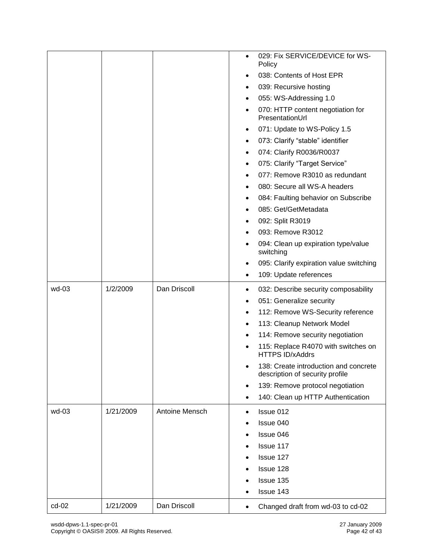|         |           |                       | 029: Fix SERVICE/DEVICE for WS-<br>$\bullet$<br>Policy                     |
|---------|-----------|-----------------------|----------------------------------------------------------------------------|
|         |           |                       | 038: Contents of Host EPR                                                  |
|         |           |                       | 039: Recursive hosting<br>$\bullet$                                        |
|         |           |                       | 055: WS-Addressing 1.0<br>٠                                                |
|         |           |                       | 070: HTTP content negotiation for<br>$\bullet$<br>PresentationUrl          |
|         |           |                       | 071: Update to WS-Policy 1.5<br>$\bullet$                                  |
|         |           |                       | 073: Clarify "stable" identifier<br>$\bullet$                              |
|         |           |                       | 074: Clarify R0036/R0037<br>$\bullet$                                      |
|         |           |                       | 075: Clarify "Target Service"<br>$\bullet$                                 |
|         |           |                       | 077: Remove R3010 as redundant<br>$\bullet$                                |
|         |           |                       | 080: Secure all WS-A headers<br>$\bullet$                                  |
|         |           |                       | 084: Faulting behavior on Subscribe<br>٠                                   |
|         |           |                       | 085: Get/GetMetadata                                                       |
|         |           |                       | 092: Split R3019<br>$\bullet$                                              |
|         |           |                       | 093: Remove R3012                                                          |
|         |           |                       | 094: Clean up expiration type/value<br>switching                           |
|         |           |                       | 095: Clarify expiration value switching<br>٠                               |
|         |           |                       | 109: Update references<br>٠                                                |
| wd-03   | 1/2/2009  | Dan Driscoll          | 032: Describe security composability<br>٠                                  |
|         |           |                       | 051: Generalize security<br>٠                                              |
|         |           |                       | 112: Remove WS-Security reference<br>٠                                     |
|         |           |                       | 113: Cleanup Network Model<br>$\bullet$                                    |
|         |           |                       | 114: Remove security negotiation<br>$\bullet$                              |
|         |           |                       | 115: Replace R4070 with switches on<br>$\bullet$<br><b>HTTPS ID/xAddrs</b> |
|         |           |                       | 138: Create introduction and concrete<br>description of security profile   |
|         |           |                       | 139: Remove protocol negotiation<br>$\bullet$                              |
|         |           |                       | 140: Clean up HTTP Authentication                                          |
| wd-03   | 1/21/2009 | <b>Antoine Mensch</b> | Issue 012<br>$\bullet$                                                     |
|         |           |                       | Issue 040                                                                  |
|         |           |                       | Issue 046                                                                  |
|         |           |                       | Issue 117                                                                  |
|         |           |                       | Issue 127                                                                  |
|         |           |                       | Issue 128                                                                  |
|         |           |                       | Issue 135                                                                  |
|         |           |                       | Issue 143                                                                  |
| $cd-02$ | 1/21/2009 | Dan Driscoll          | Changed draft from wd-03 to cd-02<br>٠                                     |